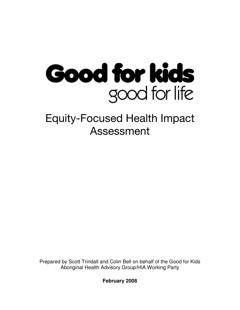

# Equity-Focused Health Impact Assessment

Prepared by Scott Trindall and Colin Bell on behalf of the Good for Kids Aboriginal Health Advisory Group/HIA Working Party

**February 2008**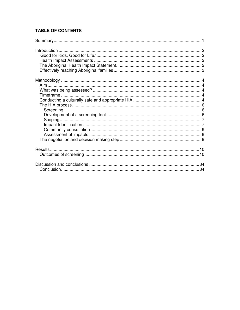#### **TABLE OF CONTENTS**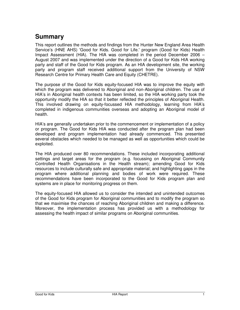# **Summary**

This report outlines the methods and findings from the Hunter New England Area Health Service's (HNE AHS) 'Good for Kids. Good for Life.' program (Good for Kids) Health Impact Assessment (HIA). The HIA was completed in the period December 2006 – August 2007 and was implemented under the direction of a Good for Kids HIA working party and staff of the Good for Kids program. As an HIA development site, the working party and program staff received additional support from the University of NSW Research Centre for Primary Health Care and Equity (CHETRE).

The purpose of the Good for Kids equity-focused HIA was to improve the equity with which the program was delivered to Aboriginal and non-Aboriginal children. The use of HIA's in Aboriginal health contexts has been limited, so the HIA working party took the opportunity modify the HIA so that it better reflected the principles of Aboriginal Health. This involved drawing on equity-focussed HIA methodology, learning from HIA's completed in indigenous communities overseas and adopting an Aboriginal model of health.

HIA's are generally undertaken prior to the commencement or implementation of a policy or program. The Good for Kids HIA was conducted after the program plan had been developed and program implementation had already commenced. This presented several obstacles which needed to be managed as well as opportunities which could be exploited.

The HIA produced over 80 recommendations. These included incorporating additional settings and target areas for the program (e.g. focussing on Aboriginal Community Controlled Health Organisations in the Health stream); amending Good for Kids resources to include culturally safe and appropriate material; and highlighting gaps in the program where additional planning and bodies of work were required. These recommendations have been incorporated to the Good for Kids program plan and systems are in place for monitoring progress on them.

The equity-focused HIA allowed us to consider the intended and unintended outcomes of the Good for Kids program for Aboriginal communities and to modify the program so that we maximise the chances of reaching Aboriginal children and making a difference. Moreover, the implementation process has provided us with a methodology for assessing the health impact of similar programs on Aboriginal communities.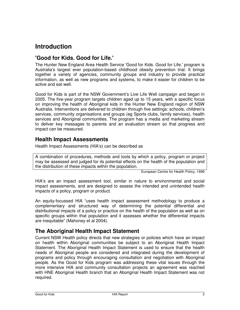# **Introduction**

## **'Good for Kids. Good for Life.'**

The Hunter New England Area Health Service 'Good for Kids. Good for Life.' program is Australia's largest ever population-based childhood obesity prevention trial. It brings together a variety of agencies, community groups and industry to provide practical information, as well as new programs and systems, to make it easier for children to be active and eat well.

Good for Kids is part of the NSW Government's Live Life Well campaign and began in 2005. The five-year program targets children aged up to 15 years, with a specific focus on improving the health of Aboriginal kids in the Hunter New England region of NSW Australia. Interventions are delivered to children through five settings: schools, children's services, community organisations and groups (eg Sports clubs, family services), health services and Aboriginal communities. The program has a media and marketing stream to deliver key messages to parents and an evaluation stream so that progress and impact can be measured.

## **Health Impact Assessments**

Health Impact Assessments (HIA's) can be described as

A combination of procedures, methods and tools by which a policy, program or project may be assessed and judged for its potential effects on the health of the population and the distribution of these impacts within the population.

European Centre for Health Policy, 1999

HIA's are an impact assessment tool, similar in nature to environmental and social impact assessments, and are designed to assess the intended and unintended health impacts of a policy, program or product.

An equity-focussed HIA "uses health impact assessment methodology to produce a complementary and structured way of determining the potential differential and distributional impacts of a policy or practice on the health of the population as well as on specific groups within that population and it assesses whether the differential impacts are inequitable" (Mahoney et al 2004).

## **The Aboriginal Health Impact Statement**

Current NSW Health policy directs that new strategies or policies which have an impact on health within Aboriginal communities be subject to an Aboriginal Health Impact Statement. The Aboriginal Health Impact Statement is used to ensure that the health needs of Aboriginal people are considered and integrated during the development of programs and policy through encouraging consultation and negotiation with Aboriginal people. As the Good for Kids program was addressing these vital issues through the more intensive HIA and community consultation projects an agreement was reached with HNE Aboriginal Health branch that an Aboriginal Health Impact Statement was not required.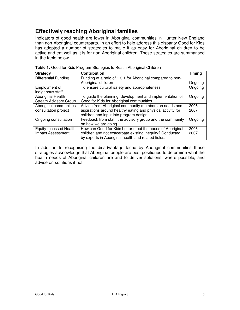# **Effectively reaching Aboriginal families**

Indicators of good health are lower in Aboriginal communities in Hunter New England than non-Aboriginal counterparts. In an effort to help address this disparity Good for Kids has adopted a number of strategies to make it as easy for Aboriginal children to be active and eat well as it is for non-Aboriginal children. These strategies are summarised in the table below.

| <b>Strategy</b>              | <b>Contribution</b>                                              | <b>Timing</b> |
|------------------------------|------------------------------------------------------------------|---------------|
| <b>Differential Funding</b>  | Funding at a ratio of $\sim$ 3:1 for Aboriginal compared to non- |               |
|                              | Aboriginal children                                              | Ongoing       |
| Employment of                | To ensure cultural safety and appropriateness                    | Ongoing       |
| indigenous staff             |                                                                  |               |
| Aboriginal Health            | To guide the planning, development and implementation of         | Ongoing       |
| <b>Stream Advisory Group</b> | Good for Kids for Aboriginal communities.                        |               |
| Aboriginal communities       | Advice from Aboriginal community members on needs and            | $2006 -$      |
| consultation project         | aspirations around healthy eating and physical activity for      | 2007          |
|                              | children and input into program design.                          |               |
| Ongoing consultation         | Feedback from staff, the advisory group and the community        | Ongoing       |
|                              | on how we are going                                              |               |
| Equity-focussed Health       | How can Good for Kids better meet the needs of Aboriginal        | $2006 -$      |
| Impact Assessment            | children and not exacerbate existing inequity? Conducted         | 2007          |
|                              | by experts in Aboriginal health and related fields.              |               |

**Table 1:** Good for Kids Program Strategies to Reach Aboriginal Children

In addition to recognising the disadvantage faced by Aboriginal communities these strategies acknowledge that Aboriginal people are best positioned to determine what the health needs of Aboriginal children are and to deliver solutions, where possible, and advise on solutions if not.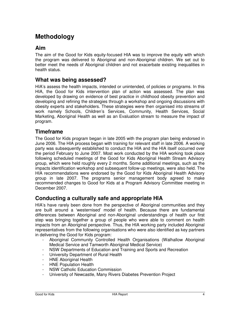# **Methodology**

### **Aim**

The aim of the Good for Kids equity-focused HIA was to improve the equity with which the program was delivered to Aboriginal and non-Aboriginal children. We set out to better meet the needs of Aboriginal children and not exacerbate existing inequalities in health status.

#### **What was being assessed?**

HIA's assess the health impacts, intended or unintended, of policies or programs. In this HIA, the Good for Kids intervention plan of action was assessed. The plan was developed by drawing on evidence of best practice in childhood obesity prevention and developing and refining the strategies through a workshop and ongoing discussions with obesity experts and stakeholders. These strategies were then organised into streams of work namely Schools, Children's Services, Community, Health Services, Social Marketing, Aboriginal Health as well as an Evaluation stream to measure the impact of program.

#### **Timeframe**

The Good for Kids program began in late 2005 with the program plan being endorsed in June 2006. The HIA process began with training for relevant staff in late 2006. A working party was subsequently established to conduct the HIA and the HIA itself occurred over the period February to June 2007. Most work conducted by the HIA working took place following scheduled meetings of the Good for Kids Aboriginal Health Stream Advisory group, which were held roughly every 2 months. Some additional meetings, such as the impacts identification workshop and subsequent follow-up meetings, were also held. The HIA recommendations were endorsed by the Good for Kids Aboriginal Health Advisory group in late 2007. The programs senior management body agreed to make recommended changes to Good for Kids at a Program Advisory Committee meeting in December 2007.

## **Conducting a culturally safe and appropriate HIA**

HIA's have rarely been done from the perspective of Aboriginal communities and they are built around a 'westernised' model of health. Because there are fundamental differences between Aboriginal and non-Aboriginal understandings of health our first step was bringing together a group of people who were able to comment on health impacts from an Aboriginal perspective. Thus, the HIA working party included Aboriginal representatives from the following organisations who were also identified as key partners in delivering the Good for Kids program:

- Aboriginal Community Controlled Health Organisations (Walhallow Aboriginal Medical Service and Tamworth Aboriginal Medical Service)
- NSW Departments of Education and Training and Sports and Recreation
- University Department of Rural Health
- HNE Aboriginal Health
- HNE Population Health
- NSW Catholic Education Commission
- University of Newcastle, Many Rivers Diabetes Prevention Project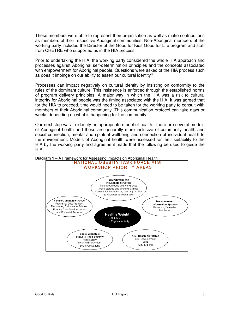These members were able to represent their organisation as well as make contributions as members of their respective Aboriginal communities. Non-Aboriginal members of the working party included the Director of the Good for Kids Good for Life program and staff from CHETRE who supported us in the HIA process.

Prior to undertaking the HIA, the working party considered the whole HIA approach and processes against Aboriginal self-determination principles and the concepts associated with empowerment for Aboriginal people. Questions were asked of the HIA process such as does it impinge on our ability to assert our cultural identity?

Processes can impact negatively on cultural identity by insisting on conformity to the rules of the dominant culture. This insistence is enforced through the established norms of program delivery principles. A major way in which the HIA was a risk to cultural integrity for Aboriginal people was the timing associated with the HIA. It was agreed that for the HIA to proceed, time would need to be taken for the working party to consult with members of their Aboriginal community. This communication protocol can take days or weeks depending on what is happening for the community.

Our next step was to identify an appropriate model of health. There are several models of Aboriginal health and these are generally more inclusive of community health and social connection, mental and spiritual wellbeing and connection of individual health to the environment. Models of Aboriginal health were assessed for their suitability to the HIA by the working party and agreement made that the following be used to guide the HIA.



**Diagram 1** – A Framework for Assessing Impacts on Aboriginal Health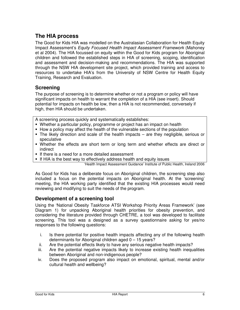## **The HIA process**

The Good for Kids HIA was modelled on the Australasian Collaboration for Health Equity Impact Assessment's Equity Focused Health Impact Assessment Framework (Mahoney et al 2004). The HIA focussed on equity within the Good for Kids program for Aboriginal children and followed the established steps in HIA of screening, scoping, identification and assessment and decision-making and recommendations. The HIA was supported through the NSW HIA development site project, which provided training and access to resources to undertake HIA's from the University of NSW Centre for Health Equity Training, Research and Evaluation.

#### **Screening**

The purpose of screening is to determine whether or not a program or policy will have significant impacts on health to warrant the completion of a HIA (see insert). Should potential for impacts on health be low, then a HIA is not recommended, conversely if high, then HIA should be undertaken.

A screening process quickly and systematically establishes:

- Whether a particular policy, programme or project has an impact on health
- How a policy may affect the health of the vulnerable sections of the population
- The likely direction and scale of the health impacts are they negligible, serious or speculative
- Whether the effects are short term or long term and whether effects are direct or indirect
- If there is a need for a more detailed assessment
- **If HIA is the best way to effectively address health and equity issues**

'Health Impact Assessment Guidance' Institute of Public Health, Ireland 2006

As Good for Kids has a deliberate focus on Aboriginal children, the screening step also included a focus on the potential impacts on Aboriginal health. At the 'screening' meeting, the HIA working party identified that the existing HIA processes would need reviewing and modifying to suit the needs of the program.

#### **Development of a screening tool**

Using the 'National Obesity Taskforce ATSI Workshop Priority Areas Framework' (see Diagram 1) for unpacking Aboriginal health priorities for obesity prevention, and considering the literature provided through CHETRE, a tool was developed to facilitate screening. This tool was a designed as a survey questionnaire asking for yes/no responses to the following questions:

- i. Is there potential for positive health impacts affecting any of the following health determinants for Aboriginal children aged 0 – 15 years?
- ii. Are the potential effects likely to have any serious negative health impacts?
- iii. Are the potential negative impacts likely to increase existing health inequalities between Aboriginal and non-indigenous people?
- iv. Does the proposed program also impact on emotional, spiritual, mental and/or cultural health and wellbeing?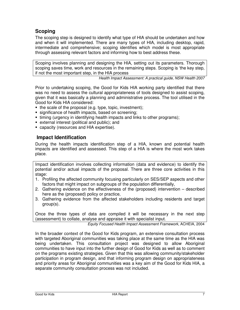## **Scoping**

The scoping step is designed to identify what type of HIA should be undertaken and how and when it will implemented. There are many types of HIA, including desktop, rapid, intermediate and comprehensive; scoping identifies which model is most appropriate through assessing relevant factors and informing how to best address these.

Scoping involves planning and designing the HIA, setting out its parameters. Thorough scoping saves time, work and resources in the remaining steps. Scoping is 'the key step, if not the most important step, in the HIA process

Health Impact Assessment: A practical guide, NSW Health 2007

Prior to undertaking scoping, the Good for Kids HIA working party identified that there was no need to assess the cultural appropriateness of tools designed to assist scoping, given that it was basically a planning and administrative process. The tool utilised in the Good for Kids HIA considered:

- $\blacksquare$  the scale of the proposal (e.g. type, topic, investment);
- **significance of health impacts, based on screening:**
- timing (urgency in identifying health impacts and links to other programs);
- external interest (political and public); and
- capacity (resources and HIA expertise).

#### **Impact Identification**

During the health impacts identification step of a HIA, known and potential health impacts are identified and assessed. This step of a HIA is where the most work takes place.

Impact identification involves collecting information (data and evidence) to identify the potential and/or actual impacts of the proposal. There are three core activities in this stage:

- 1. Profiling the affected community focusing particularly on SES/SEP aspects and other factors that might impact on subgroups of the population differentially,
- 2. Gathering evidence on the effectiveness of the (proposed) intervention described here as the (proposed) policy or practice,
- 3. Gathering evidence from the affected stakeholders including residents and target group(s).

Once the three types of data are compiled it will be necessary in the next step (assessment) to collate, analyse and appraise it with specialist input.

Equity Focused Health Impact Assessment Framework, ACHEIA, 2004

In the broader context of the Good for Kids program, an extensive consultation process with targeted Aboriginal communities was taking place at the same time as the HIA was being undertaken. This consultation project was designed to allow Aboriginal communities to have input into the further design of Good for Kids as well as to comment on the programs existing strategies. Given that this was allowing community/stakeholder participation in program design, and that informing program design on appropriateness and priority areas for Aboriginal communities was a key aim of the Good for Kids HIA, a separate community consultation process was not included.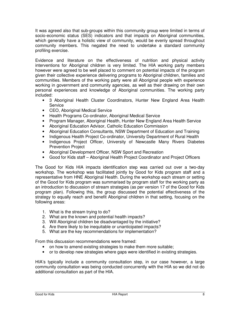It was agreed also that sub-groups within this community group were limited in terms of socio-economic status (SES) indicators and that impacts on Aboriginal communities, which generally have a holistic view of community, would be evenly spread throughout community members. This negated the need to undertake a standard community profiling exercise.

Evidence and literature on the effectiveness of nutrition and physical activity interventions for Aboriginal children is very limited. The HIA working party members however were agreed to be well placed to comment on potential impacts of the program given their collective experience delivering programs to Aboriginal children, families and communities. Members of the working party were all Aboriginal people with experience working in government and community agencies, as well as their drawing on their own personal experiences and knowledge of Aboriginal communities. The working party included:

- 3 Aboriginal Health Cluster Coordinators, Hunter New England Area Health Service
- CEO, Aboriginal Medical Service
- Health Programs Co-ordinator, Aboriginal Medical Service
- Program Manager, Aboriginal Health, Hunter New England Area Health Service
- Aboriginal Education Advisor, Catholic Education Commission
- Aboriginal Education Consultants, NSW Department of Education and Training
- Indigenous Health Project Co-ordinator, University Department of Rural Health
- Indigenous Project Officer, University of Newcastle Many Rivers Diabetes Prevention Project
- Aboriginal Development Officer, NSW Sport and Recreation
- Good for Kids staff Aboriginal Health Project Coordinator and Project Officers

The Good for Kids HIA impacts identification step was carried out over a two-day workshop. The workshop was facilitated jointly by Good for Kids program staff and a representative from HNE Aboriginal Health. During the workshop each stream or setting of the Good for Kids program was summarised by program staff for the working party as an introduction to discussion of stream strategies (as per version 17 of the Good for Kids program plan). Following this, the group discussed the potential effectiveness of the strategy to equally reach and benefit Aboriginal children in that setting, focusing on the following areas:

- 1. What is the stream trying to do?
- 2. What are the known and potential health impacts?
- 3. Will Aboriginal children be disadvantaged by the initiative?
- 4. Are there likely to be inequitable or unanticipated impacts?
- 5. What are the key recommendations for implementation?

From this discussion recommendations were framed:

- on how to amend existing strategies to make them more suitable;
- or to develop new strategies where gaps were identified in existing strategies.

HIA's typically include a community consultation step, in our case however, a large community consultation was being conducted concurrently with the HIA so we did not do additional consultation as part of the HIA.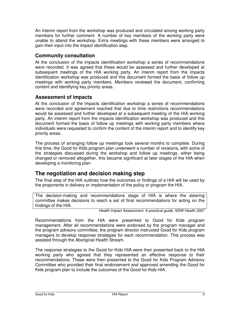An interim report from the workshop was produced and circulated among working party members for further comment. A number of key members of the working party were unable to attend the workshop. Extra meetings with these members were arranged to gain their input into the impact identification step.

#### **Community consultation**

At the conclusion of the impacts identification workshop a series of recommendations were recorded. It was agreed that these would be assessed and further developed at subsequent meetings of the HIA working party. An interim report from the impacts identification workshop was produced and this document formed the basis of follow up meetings with working party members. Members reviewed the document, confirming content and identifying key priority areas.

#### **Assessment of impacts**

At the conclusion of the impacts identification workshop a series of recommendations were recorded and agreement reached that due to time restrictions recommendations would be assessed and further developed at a subsequent meeting of the HIA working party. An interim report from the impacts identification workshop was produced and this document formed the basis of follow up meetings with working party members where individuals were requested to confirm the content of the interim report and to identify key priority areas.

The process of arranging follow up meetings took several months to complete. During this time, the Good for Kids program plan underwent a number of revisions, with some of the strategies discussed during the workshop and follow up meetings, either being changed or removed altogether, this became significant at later stages of the HIA when developing a monitoring plan.

#### **The negotiation and decision making step**

The final step of the HIA outlines how the outcomes or findings of a HIA will be used by the proponents in delivery or implementation of the policy or program the HIA.

The decision-making and recommendations stage of HIA is where the steering committee makes decisions to reach a set of final recommendations for acting on the findings of the HIA.

Health Impact Assessment: A practical guide, NSW Health 2007

Recommendations from the HIA were presented to Good for Kids program management. After all recommendations were endorsed by the program manager and the program advisory committee, the program director instructed Good for Kids program managers to develop response strategies for each recommendation. This process was assisted through the Aboriginal Health Stream.

The response strategies to the Good for Kids HIA were then presented back to the HIA working party who agreed that they represented an effective response to their recommendations. These were then presented to the Good for Kids Program Advisory Committee who provided their final endorsement and approved amending the Good for Kids program plan to include the outcomes of the Good for Kids HIA.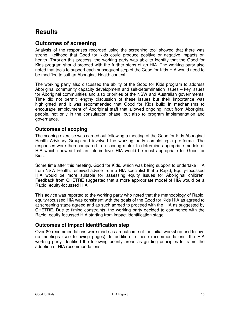# **Results**

## **Outcomes of screening**

Analysis of the responses recorded using the screening tool showed that there was strong likelihood that Good for Kids could produce positive or negative impacts on health. Through this process, the working party was able to identify that the Good for Kids program should proceed with the further steps of an HIA. The working party also noted that tools to support each subsequent step of the Good for Kids HIA would need to be modified to suit an Aboriginal Health context.

The working party also discussed the ability of the Good for Kids program to address Aboriginal community capacity development and self-determination issues – key issues for Aboriginal communities and also priorities of the NSW and Australian governments. Time did not permit lengthy discussion of these issues but their importance was highlighted and it was recommended that Good for Kids build in mechanisms to encourage employment of Aboriginal staff that allowed ongoing input from Aboriginal people, not only in the consultation phase, but also to program implementation and governance.

#### **Outcomes of scoping**

The scoping exercise was carried out following a meeting of the Good for Kids Aboriginal Health Advisory Group and involved the working party completing a pro-forma. The responses were then compared to a scoring matrix to determine appropriate models of HIA which showed that an Interim-level HIA would be most appropriate for Good for Kids.

Some time after this meeting, Good for Kids, which was being support to undertake HIA from NSW Health, received advice from a HIA specialist that a Rapid, Equity-focussed HIA would be more suitable for assessing equity issues for Aboriginal children. Feedback from CHETRE suggested that a more appropriate model of HIA would be a Rapid, equity-focussed HIA.

This advice was reported to the working party who noted that the methodology of Rapid, equity-focussed HIA was consistent with the goals of the Good for Kids HIA as agreed to at screening stage agreed and as such agreed to proceed with the HIA as suggested by CHETRE. Due to timing constraints, the working party decided to commence with the Rapid, equity-focussed HIA starting from impact identification stage.

#### **Outcomes of impact identification step**

Over 80 recommendations were made as an outcome of the initial workshop and followup meetings (see following pages). In addition to these recommendations, the HIA working party identified the following priority areas as guiding principles to frame the adoption of HIA recommendations.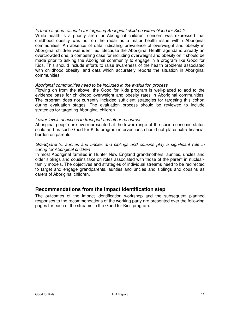#### Is there a good rationale for targeting Aboriginal children within Good for Kids?

While health is a priority area for Aboriginal children, concern was expressed that childhood obesity was not on the radar as a major health issue within Aboriginal communities. An absence of data indicating prevalence of overweight and obesity in Aboriginal children was identified. Because the Aboriginal Health agenda is already an overcrowded one, a compelling case for including overweight and obesity on it should be made prior to asking the Aboriginal community to engage in a program like Good for Kids. This should include efforts to raise awareness of the health problems associated with childhood obesity, and data which accurately reports the situation in Aboriginal communities.

#### Aboriginal communities need to be included in the evaluation process

Flowing on from the above, the Good for Kids program is well-placed to add to the evidence base for childhood overweight and obesity rates in Aboriginal communities. The program does not currently included sufficient strategies for targeting this cohort during evaluation stages. The evaluation process should be reviewed to include strategies for targeting Aboriginal children.

#### Lower levels of access to transport and other resources

Aboriginal people are overrepresented at the lower range of the socio-economic status scale and as such Good for Kids program interventions should not place extra financial burden on parents.

#### Grandparents, aunties and uncles and siblings and cousins play a significant role in caring for Aboriginal children

In most Aboriginal families in Hunter New England grandmothers, aunties, uncles and older siblings and cousins take on roles associated with those of the parent in nuclearfamily models. The objectives and strategies of individual streams need to be redirected to target and engage grandparents, aunties and uncles and siblings and cousins as carers of Aboriginal children.

#### **Recommendations from the impact identification step**

The outcomes of the impact identification workshop and the subsequent planned responses to the recommendations of the working party are presented over the following pages for each of the streams in the Good for Kids program.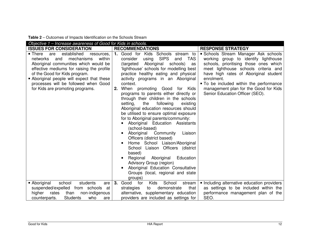| Objective 1 – Increase awareness of Good for Kids in schools.                                                                                                                                                                                                                                                                           |                                                                                                                                                                                                                                                                                                                                                                                                                                                                                                                                                                                                                                                                                                                                                                                                                                                                                                                                               |                                                                                                                                                                                                                                                                                                                                            |
|-----------------------------------------------------------------------------------------------------------------------------------------------------------------------------------------------------------------------------------------------------------------------------------------------------------------------------------------|-----------------------------------------------------------------------------------------------------------------------------------------------------------------------------------------------------------------------------------------------------------------------------------------------------------------------------------------------------------------------------------------------------------------------------------------------------------------------------------------------------------------------------------------------------------------------------------------------------------------------------------------------------------------------------------------------------------------------------------------------------------------------------------------------------------------------------------------------------------------------------------------------------------------------------------------------|--------------------------------------------------------------------------------------------------------------------------------------------------------------------------------------------------------------------------------------------------------------------------------------------------------------------------------------------|
| <b>ISSUES FOR CONSIDERATION</b>                                                                                                                                                                                                                                                                                                         | <b>RECOMMENDATIONS</b>                                                                                                                                                                                                                                                                                                                                                                                                                                                                                                                                                                                                                                                                                                                                                                                                                                                                                                                        | <b>RESPONSE STRATEGY</b>                                                                                                                                                                                                                                                                                                                   |
| established<br>■ There<br>are<br>resources,<br>networks<br>and<br>mechanisms<br>within<br>Aboriginal communities which would be<br>effective mediums for raising the profile<br>of the Good for Kids program.<br>• Aboriginal people will expect that these<br>processes will be followed when Good<br>for Kids are promoting programs. | 1. Good for Kids Schools stream to<br><b>SIPS</b><br><b>TAS</b><br>consider<br>using<br>and<br>(targeted<br>Aboriginal<br>schools)<br>as<br>'lighthouse' schools for modelling best<br>practice healthy eating and physical<br>activity programs in an Aboriginal<br>context.<br>When promoting Good for Kids<br>2.<br>programs to parents either directly or<br>through their children in the schools<br>setting,<br>the<br>following<br>existing<br>Aboriginal education resources should<br>be utilised to ensure optimal exposure<br>for to Aboriginal parents/community:<br>Aboriginal Education Assistants<br>(school-based)<br>Aboriginal<br>Community<br>Liaison<br>Officers (district based)<br>Home School Liaison/Aboriginal<br>School Liaison Officers (district<br>based)<br>Regional<br>Aboriginal<br>Education<br>Advisory Group (region)<br>Aboriginal Education Consultative<br>Groups (local, regional and state<br>groups) | Schools Stream Manager Ask schools<br>working group to identify lighthouse<br>schools, prioritising those ones which<br>meet lighthouse schools criteria and<br>have high rates of Aboriginal student<br>enrolment.<br>• To be included within the performance<br>management plan for the Good for Kids<br>Senior Education Officer (SEO). |
| school<br>students<br>• Aboriginal<br>are                                                                                                                                                                                                                                                                                               | <b>Kids</b><br>School<br>3.<br>Good<br>for<br>stream                                                                                                                                                                                                                                                                                                                                                                                                                                                                                                                                                                                                                                                                                                                                                                                                                                                                                          | • Including alternative education providers                                                                                                                                                                                                                                                                                                |
| suspended/expelled from schools<br>at                                                                                                                                                                                                                                                                                                   | that<br>strategies<br>demonstrate<br>to                                                                                                                                                                                                                                                                                                                                                                                                                                                                                                                                                                                                                                                                                                                                                                                                                                                                                                       | as settings to be included within the                                                                                                                                                                                                                                                                                                      |
| than<br>non-indigenous<br>higher<br>rates                                                                                                                                                                                                                                                                                               | alternative, supplementary education                                                                                                                                                                                                                                                                                                                                                                                                                                                                                                                                                                                                                                                                                                                                                                                                                                                                                                          | performance management plan of the                                                                                                                                                                                                                                                                                                         |
| <b>Students</b><br>counterparts.<br>who<br>are                                                                                                                                                                                                                                                                                          | providers are included as settings for                                                                                                                                                                                                                                                                                                                                                                                                                                                                                                                                                                                                                                                                                                                                                                                                                                                                                                        | SEO.                                                                                                                                                                                                                                                                                                                                       |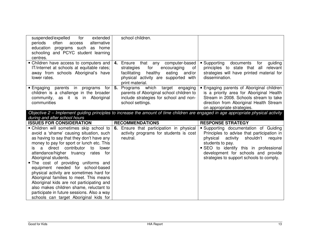| suspended/expelled<br>for<br>extended<br>periods<br>often<br>alternative<br>access<br>education programs such as home<br>schooling and PCYC student learning<br>centres. | school children.                                                                                                                                                                      |                                                                                                                                                                                                               |
|--------------------------------------------------------------------------------------------------------------------------------------------------------------------------|---------------------------------------------------------------------------------------------------------------------------------------------------------------------------------------|---------------------------------------------------------------------------------------------------------------------------------------------------------------------------------------------------------------|
| • Children have access to computers and<br>IT/internet at schools at equitable rates;<br>away from schools Aboriginal's have<br>lower rates.                             | 4. Ensure that any computer-based<br>for<br>strategies<br>encouraging<br>of<br>healthy<br>eating<br>and/or<br>facilitating<br>physical activity are supported with<br>print material. | ■ Supporting<br>documents<br>for<br>guiding<br>principles to state that all relevant<br>strategies will have printed material for<br>dissemination.                                                           |
| <b>Engaging parents in programs for</b><br>children is a challenge in the broader<br>community, as it is in Aboriginal<br>communities                                    | 5.<br>Programs which target engaging<br>parents of Aboriginal school children to<br>include strategies for school and non-<br>school settings.                                        | <b>Engaging parents of Aboriginal children</b><br>is a priority area for Aboriginal Health<br>Stream in 2008. Schools stream to take<br>direction from Aboriginal Health Stream<br>on appropriate strategies. |
|                                                                                                                                                                          | Objective 2 – Implement guiding principles to increase the amount of time children are engaged in age appropriate physical activity                                                   |                                                                                                                                                                                                               |
| during and after school hours                                                                                                                                            |                                                                                                                                                                                       | <b>RESPONSE STRATEGY</b>                                                                                                                                                                                      |
|                                                                                                                                                                          |                                                                                                                                                                                       |                                                                                                                                                                                                               |
| <b>ISSUES FOR CONSIDERATION</b><br>• Children will sometimes skip school to                                                                                              | <b>RECOMMENDATIONS</b><br>6. Ensure that participation in physical                                                                                                                    | • Supporting documentation of Guiding                                                                                                                                                                         |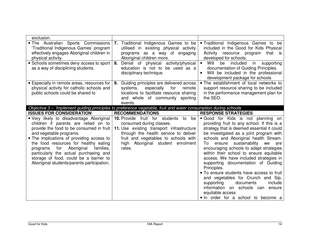| exclusion.                                                                                                                                                                                                                                                                                                                                                                                                                    |                                                                                                                                                                                                                                                  |                                                                                                                                                                                                                                                                                                                                                                                                                                                                                                                                                                                                                                                                      |
|-------------------------------------------------------------------------------------------------------------------------------------------------------------------------------------------------------------------------------------------------------------------------------------------------------------------------------------------------------------------------------------------------------------------------------|--------------------------------------------------------------------------------------------------------------------------------------------------------------------------------------------------------------------------------------------------|----------------------------------------------------------------------------------------------------------------------------------------------------------------------------------------------------------------------------------------------------------------------------------------------------------------------------------------------------------------------------------------------------------------------------------------------------------------------------------------------------------------------------------------------------------------------------------------------------------------------------------------------------------------------|
| . The Australian Sports Commissions<br>'Traditional Indigenous Games' program<br>effectively engages Aboriginal children in<br>physical activity.                                                                                                                                                                                                                                                                             | 7. Traditional Indigenous Games to be<br>utilised in existing physical activity<br>programs as a way of engaging<br>Aboriginal children more.                                                                                                    | <b>Traditional Indigenous Games to be</b><br>included in the Good for Kids Physical<br>Activity<br>resource program<br>that is<br>developed for schools.                                                                                                                                                                                                                                                                                                                                                                                                                                                                                                             |
| • Schools sometimes deny access to sport<br>as a way of disciplining students.                                                                                                                                                                                                                                                                                                                                                | Denial of physical activity/physical<br>8.<br>education is not to be used as a<br>disciplinary technique.                                                                                                                                        | Will<br>in<br>$\blacksquare$<br>included<br>supporting<br>be<br>documentation of Guiding Principles.<br>Will be included in the professional<br>development package for schools                                                                                                                                                                                                                                                                                                                                                                                                                                                                                      |
| <b>Expecially in remote areas, resources for</b><br>physical activity for catholic schools and<br>public schools could be shared to                                                                                                                                                                                                                                                                                           | Guiding principles are delivered across<br>9.<br>especially<br>for<br>systems,<br>remote<br>locations to facilitate resource sharing<br>and whole of community sporting<br>events.                                                               | • The establishment of local networks to<br>support resource sharing to be included<br>in the performance management plan for<br>the SEO.                                                                                                                                                                                                                                                                                                                                                                                                                                                                                                                            |
| <b>ISSUES FOR CONSIDERATION</b>                                                                                                                                                                                                                                                                                                                                                                                               | Objective 3 - Implement guiding principles to preference vegetable, fruit and water consumption during schools<br><b>RECOMMENDATIONS</b>                                                                                                         | <b>RESPONSE STRATEGIES</b>                                                                                                                                                                                                                                                                                                                                                                                                                                                                                                                                                                                                                                           |
| • Very likely to disadvantage Aboriginal<br>children if parents are relied on to<br>provide the food to be consumed in fruit<br>and vegetable programs.<br>• The implications of providing access to<br>the food resources for healthy eating<br>Aboriginal<br>for<br>families,<br>programs<br>particularly the actual purchasing and<br>storage of food, could be a barrier to<br>Aboriginal students/parents participation. | 10. Provide fruit for students to<br>be<br>consumed during classes.<br>11. Use existing transport infrastructure<br>through the health service to deliver<br>fruit and vegetables to schools with<br>high Aboriginal student enrolment<br>rates. | Good for Kids is not planning on<br>providing fruit to any school. If this is a<br>strategy that is deemed essential it could<br>be investigated as a joint program with<br>schools and Aboriginal health Stream.<br>To ensure sustainability we<br>are<br>encouraging schools to adapt strategies<br>within their school to ensure equitable<br>access. We have included strategies in<br>supporting documentation of Guiding<br>Principles.<br>• To ensure students have access to fruit<br>and vegetables for Crunch and Sip,<br>supporting<br>documents<br>include<br>information on schools can ensure<br>equitable access<br>In order for a school to become a |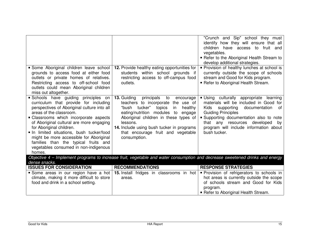|                                                                                                                                                                                                                                                                                                                                                                                                                                                          |                                                                                                                                                                                                                                                                                                                                  | "Crunch and Sip" school they must<br>identify how they will ensure that all<br>children have access to fruit and<br>vegetables.<br>• Refer to the Aboriginal Health Stream to<br>develop additional strategies.                                                                                                |
|----------------------------------------------------------------------------------------------------------------------------------------------------------------------------------------------------------------------------------------------------------------------------------------------------------------------------------------------------------------------------------------------------------------------------------------------------------|----------------------------------------------------------------------------------------------------------------------------------------------------------------------------------------------------------------------------------------------------------------------------------------------------------------------------------|----------------------------------------------------------------------------------------------------------------------------------------------------------------------------------------------------------------------------------------------------------------------------------------------------------------|
| Some Aboriginal children leave school<br>grounds to access food at either food<br>outlets or private homes of relatives.<br>Restricting access to off-school food<br>outlets could mean Aboriginal children<br>miss out altogether.                                                                                                                                                                                                                      | 12. Provide healthy eating opportunities for<br>students within school grounds if<br>restricting access to off-campus food<br>outlets.                                                                                                                                                                                           | • Provision of healthy lunches at school is<br>currently outside the scope of schools<br>stream and Good for Kids program.<br>Refer to Aboriginal Health Stream.                                                                                                                                               |
| Schools have guiding principles on<br>curriculum that provide for including<br>perspectives of Aboriginal culture into all<br>areas of the classroom.<br>• Classrooms which incorporate aspects<br>of Aboriginal cultural are more engaging<br>for Aboriginal children.<br>In limited situations, bush tucker/food<br>might be more accessible for Aboriginal<br>families than the typical fruits and<br>vegetables consumed in non-indigenous<br>homes. | <b>13. Guiding</b><br>principals to<br>encourage<br>teachers to incorporate the use of<br>"bush tucker"<br>topics<br>healthy<br>in<br>eating/nutrition modules to engage<br>Aboriginal children in these types of<br>lessons.<br>14. Include using bush tucker in programs<br>that encourage fruit and vegetable<br>consumption. | • Using culturally appropriate<br>learning<br>materials will be included in Good for<br>supporting<br>documentation<br>of<br>Kids<br><b>Guiding Principles</b><br><b>Supporting documentation also to note</b><br>that any resources developed<br>by<br>program will include information about<br>bush tucker. |
| dense snacks.                                                                                                                                                                                                                                                                                                                                                                                                                                            | Objective 4 – Implement programs to increase fruit, vegetable and water consumption and decrease sweetened drinks and energy                                                                                                                                                                                                     |                                                                                                                                                                                                                                                                                                                |
| <b>ISSUES FOR CONSIDERATION</b>                                                                                                                                                                                                                                                                                                                                                                                                                          | <b>RECOMMENDATIONS</b>                                                                                                                                                                                                                                                                                                           | <b>RESPONSE STRATEGIES</b>                                                                                                                                                                                                                                                                                     |
| climate, making it more difficult to store<br>food and drink in a school setting.                                                                                                                                                                                                                                                                                                                                                                        | Some areas in our region have a hot 15. Install fridges in classrooms in hot<br>areas.                                                                                                                                                                                                                                           | • Provision of refrigerators to schools in<br>hot areas is currently outside the scope<br>of schools stream and Good for Kids                                                                                                                                                                                  |

| Further to Aboriginal Health Stream. |
|--------------------------------------|
|                                      |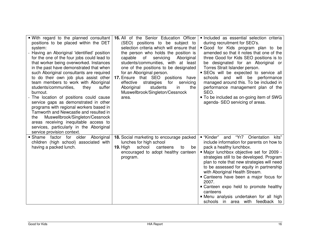| • With regard to the planned consultant<br>positions to be placed within the DET<br>system:<br>Having an Aboriginal 'identified' position<br>for the one of the four jobs could lead to<br>that worker being overworked. Instances<br>in the past have demonstrated that when<br>such Aboriginal consultants are required<br>to do their own job plus assist other<br>team members to work with Aboriginal<br>students/communities,<br>they<br>suffer<br>burnout.<br>The location of positions could cause<br>service gaps as demonstrated in other<br>programs with regional workers based in<br>Tamworth and Newcastle and resulted in<br>Muswellbrook/Singleton/Cessnock<br>the<br>areas receiving inequitable access to<br>services, particularly in the Aboriginal<br>service provision context. | 16. All of the Senior Education Officer<br>(SEO) positions to be subject to<br>selection criteria which will ensure that<br>the person who holds the position is<br>of<br>servicing<br>Aboriginal<br>capable<br>students/communities, with at least<br>one of the positions to be designated<br>for an Aboriginal person.<br>17. Ensure that SEO positions<br>have<br>effective<br>strategies<br>for<br>servicing<br>Aboriginal<br>students<br>in<br>the<br>Muswellbrook/Singleton/Cessnock<br>area. | · Included as essential selection criteria<br>during recruitment for SEO's.<br>Good for Kids program plan to be<br>amended so that it notes that one of the<br>three Good for Kids SEO positions is to<br>be designated for an Aboriginal or<br>Torres Strait Islander person.<br>SEOs will be expected to service all<br>schools and will be performance<br>managed around this. To be included in<br>performance management plan of the<br>SEO.<br>• To be included as on-going item of SWG<br>agenda- SEO servicing of areas.   |
|-------------------------------------------------------------------------------------------------------------------------------------------------------------------------------------------------------------------------------------------------------------------------------------------------------------------------------------------------------------------------------------------------------------------------------------------------------------------------------------------------------------------------------------------------------------------------------------------------------------------------------------------------------------------------------------------------------------------------------------------------------------------------------------------------------|------------------------------------------------------------------------------------------------------------------------------------------------------------------------------------------------------------------------------------------------------------------------------------------------------------------------------------------------------------------------------------------------------------------------------------------------------------------------------------------------------|------------------------------------------------------------------------------------------------------------------------------------------------------------------------------------------------------------------------------------------------------------------------------------------------------------------------------------------------------------------------------------------------------------------------------------------------------------------------------------------------------------------------------------|
| factor for older Aboriginal<br>• Shame<br>children (high school) associated with<br>having a packed lunch.                                                                                                                                                                                                                                                                                                                                                                                                                                                                                                                                                                                                                                                                                            | 18. Social marketing to encourage packed<br>lunches for high school<br>school<br>19. $High$<br>canteens<br>to<br>be<br>encouraged to adopt healthy canteen<br>program.                                                                                                                                                                                                                                                                                                                               | and "Yr7 Orientation<br>■ "Kinder"<br>kits"<br>include information for parents on how to<br>pack a healthy lunchbox.<br>• Major lunchbox objective set for 2009 -<br>strategies still to be developed. Program<br>plan to note that new strategies will need<br>to be assessed for equity in partnership<br>with Aboriginal Health Stream.<br>• Canteens have been a major focus for<br>2007.<br>• Canteen expo held to promote healthy<br>canteens<br>• Menu analysis undertaken for all high<br>schools in area with feedback to |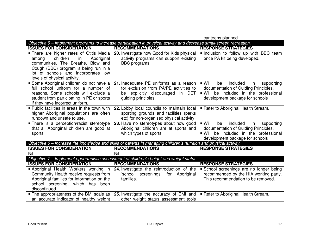|                                                                                                                                                                                                          |                                                                                                                                             | canteens planned.                                                                                                                                                              |
|----------------------------------------------------------------------------------------------------------------------------------------------------------------------------------------------------------|---------------------------------------------------------------------------------------------------------------------------------------------|--------------------------------------------------------------------------------------------------------------------------------------------------------------------------------|
|                                                                                                                                                                                                          | Objective 5 – Implement programs to increase participation in physical activity and decrease small-screen recreation.                       |                                                                                                                                                                                |
| <b>ISSUES FOR CONSIDERATION</b>                                                                                                                                                                          | <b>RECOMMENDATIONS</b>                                                                                                                      | <b>RESPONSE STRATEGIES</b>                                                                                                                                                     |
| • There are higher rates of Otitis Media<br>children<br>Aboriginal<br>in<br>among<br>communities. The Breathe, Blow and<br>Cough (BBC) program is being run in a                                         | 20. Investigate how Good for Kids physical<br>activity programs can support existing<br>BBC programs.                                       | Inclusion to follow up with BBC team<br>once PA kit being developed.                                                                                                           |
| lot of schools and incorporates low<br>levels of physical activity.                                                                                                                                      |                                                                                                                                             |                                                                                                                                                                                |
| · Some Aboriginal children do not have a<br>full school uniform for a number of<br>reasons. Some schools will exclude a<br>student from participating in PE or sports<br>if they have incorrect uniform. | 21. Inadequate PE uniforms as a reason<br>for exclusion from PA/PE activities to<br>be explicitly discouraged in DET<br>guiding principles. | $\blacksquare$ Will<br>included<br>be<br>in<br>supporting<br>documentation of Guiding Principles.<br>. Will be included in the professional<br>development package for schools |
| • Public facilities in areas in the town with<br>higher Aboriginal populations are often<br>rundown and unsafe to use.                                                                                   | 22. Lobby local councils to maintain local<br>sporting grounds and facilities (parks)<br>etc) for non-organised physical activity.          | • Refer to Aboriginal Health Stream.                                                                                                                                           |
| • There is a perception/racist stereotype<br>that all Aboriginal children are good at<br>sports.                                                                                                         | 23. Have no stereotypes about how good<br>Aboriginal children are at sports and<br>which types of sports.                                   | $\blacksquare$ Will<br>included<br>be<br>in<br>supporting<br>documentation of Guiding Principles.<br>. Will be included in the professional<br>development package for schools |
|                                                                                                                                                                                                          | Objective 6 – Increase the knowledge and skills of parents in managing children's nutrition and physical activity.                          |                                                                                                                                                                                |
| <b>ISSUES FOR CONSIDERATION</b>                                                                                                                                                                          | <b>RECOMMENDATIONS</b>                                                                                                                      | <b>RESPONSE STRATEGIES</b>                                                                                                                                                     |
| Nil                                                                                                                                                                                                      | Nil                                                                                                                                         |                                                                                                                                                                                |
|                                                                                                                                                                                                          | Objective 7 - Implement opportunistic assessment of children's height and weight status.                                                    |                                                                                                                                                                                |
| <b>ISSUES FOR CONSIDERATION</b>                                                                                                                                                                          | <b>RECOMMENDATIONS</b>                                                                                                                      | <b>RESPONSE STRATEGIES</b>                                                                                                                                                     |
| • Aboriginal Health Workers working in                                                                                                                                                                   | 24. Investigate the reintroduction of the                                                                                                   | • School screenings are no longer being                                                                                                                                        |
| Community Health receive requests from                                                                                                                                                                   | 'school screenings' for Aboriginal                                                                                                          | recommended by the HIA working party.                                                                                                                                          |
| Aboriginal families for information on the                                                                                                                                                               | families.                                                                                                                                   | This recommendation to be removed.                                                                                                                                             |
| school screening, which has been                                                                                                                                                                         |                                                                                                                                             |                                                                                                                                                                                |
| discontinued.                                                                                                                                                                                            |                                                                                                                                             |                                                                                                                                                                                |
| • The appropriateness of the BMI scale as<br>an accurate indicator of healthy weight                                                                                                                     | 25. Investigate the accuracy of BMI and<br>other weight status assessment tools                                                             | • Refer to Aboriginal Health Stream.                                                                                                                                           |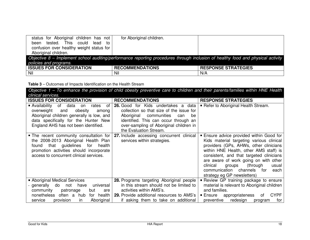| status for Aboriginal children has not   | for Aboriginal children.                                                                                                         |                            |
|------------------------------------------|----------------------------------------------------------------------------------------------------------------------------------|----------------------------|
| tested. This could lead<br>to<br>been    |                                                                                                                                  |                            |
| confusion over healthy weight status for |                                                                                                                                  |                            |
| Aboriginal children.                     |                                                                                                                                  |                            |
|                                          | Objective 8 – Implement school auditing/performance reporting procedures through inclusion of healthy food and physical activity |                            |
| policies and programs.                   |                                                                                                                                  |                            |
| <b>ISSUES FOR CONSIDERATION</b>          | <b>RECOMMENDATIONS</b>                                                                                                           | <b>RESPONSE STRATEGIES</b> |
| Nil                                      | Nil                                                                                                                              | N/A                        |

**Table 3** – Outcomes of Impacts Identification on the Health Stream

Objective 1 – To enhance the provision of child obesity preventive care to children and their parents/families within HNE Health clinical services. **ISSUES FOR CONSIDERATION RECOMMENDATIONS RESPONSE STRATEGIES Refer to Aboriginal Health Stream.**  Availability of data on rates of overweight and obesity among Aboriginal children generally is low, and data specifically for the Hunter New England AHS has not been identified. **26.** Good for Kids undertakes a data collection so that size of the issue for be Aboriginal communities can identified. This can occur through an over-sampling of Aboriginal children in the Evaluation Stream. **27.** Include accessing concurrent clinical **The recent community consultation for** the 2008-2013 Aboriginal Health Plan for health found that guidelines promotion activities should incorporate access to concurrent clinical services. services within strategies. **Ensure advice provided within Good for** Kids material targeting various clinical providers (GPs, AHWs, other clinicians within HNE Health, other AMS staff) is consistent, and that targeted clinicians are aware of work going on with other clinical groups (through usual each communication channels for strategy eg GP newsletters) **Review GP training package to ensure**  Aboriginal Medical Services - generally do not have universal community patronage but are nonetheless often a hub for health service provision in Aboriginal **28.** Programs targeting Aboriginal people in this stream should not be limited to activities within AMS's. **29.** Provide additional resources to AMS's if asking them to take on additional material is relevant to Aboriginal children and families. **Ensure appropriateness of CYPF** preventive redesign program for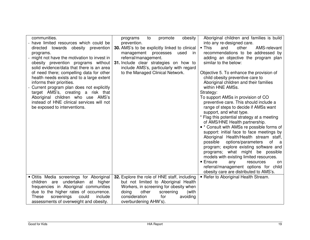| communities.                               | promote<br>obesity<br>programs<br>to                 | Aboriginal children and families is build           |
|--------------------------------------------|------------------------------------------------------|-----------------------------------------------------|
| have limited resources which could be      | prevention.                                          | into any re-designed care.                          |
| directed towards obesity prevention        | <b>30.</b> AMS's to be explicitly linked to clinical | $\blacksquare$ This<br>other<br>AMS-relevant<br>and |
| programs.                                  | management<br>used<br>processes<br>in                | recommendations to be addressed by                  |
| might not have the motivation to invest in | referral/management.                                 | adding an objective the program plan                |
| obesity prevention programs without        | 31. Include clear strategies on how to               | similar to the below:                               |
| solid evidence/data that there is an area  | include AMS's, particularly with regard              |                                                     |
| of need there; compelling data for other   | to the Managed Clinical Network.                     | Objective 5. To enhance the provision of            |
| health needs exists and to a large extent  |                                                      | child obesity preventive care to                    |
|                                            |                                                      |                                                     |
| informs their priorities.                  |                                                      | Aboriginal children and their families              |
| Current program plan does not explicitly   |                                                      | within HNE AMSs.                                    |
| target AMS's, creating a risk that         |                                                      | Strategy:                                           |
| Aboriginal children who use AMS's          |                                                      | To support AMSs in provision of CO                  |
| instead of HNE clinical services will not  |                                                      | preventive care. This should include a              |
| be exposed to interventions.               |                                                      | range of steps to decide if AMSs want               |
|                                            |                                                      | support, and what type.                             |
|                                            |                                                      | * Flag this potential strategy at a meeting         |
|                                            |                                                      | of AMS/HNE Health partnership.                      |
|                                            |                                                      | • * Consult with AMSs re possible forms of          |
|                                            |                                                      | support: initial face to face meetings by           |
|                                            |                                                      | Aboriginal Health/Health stream staff,              |
|                                            |                                                      | possible<br>options/parameters<br>of                |
|                                            |                                                      | - a                                                 |
|                                            |                                                      | program; explore existing software and              |
|                                            |                                                      | programs; what might be possible                    |
|                                            |                                                      | models with existing limited resources.             |
|                                            |                                                      | • Ensure<br>any<br>resources<br>on                  |
|                                            |                                                      | referral/management options for child               |
|                                            |                                                      | obesity care are distributed to AMS's.              |
| • Otitis Media screenings for Aboriginal   | 32. Explore the role of HNE staff, including         | - Refer to Aboriginal Health Stream.                |
| children are undertaken at higher          | but not limited to Aboriginal Health                 |                                                     |
| frequencies in Aboriginal communities      | Workers, in screening for obesity when               |                                                     |
| due to the higher rates of occurrence.     | doing<br>other<br>(with<br>screening                 |                                                     |
| screenings<br>could<br>include<br>These    | consideration<br>avoiding<br>for                     |                                                     |
| assessments of overweight and obesity.     | overburdening AHW's).                                |                                                     |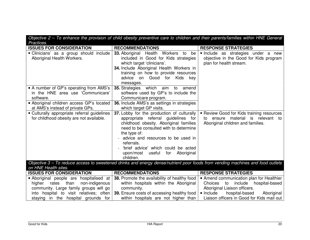| Practices.                                                                                                                                                        | Objective 2 – 1o enhance the provision of child obesity preventive care to children and their parents/families within HNE General                                                                                                                                                                                                      |                                                                                                                                                             |
|-------------------------------------------------------------------------------------------------------------------------------------------------------------------|----------------------------------------------------------------------------------------------------------------------------------------------------------------------------------------------------------------------------------------------------------------------------------------------------------------------------------------|-------------------------------------------------------------------------------------------------------------------------------------------------------------|
| <b>ISSUES FOR CONSIDERATION</b>                                                                                                                                   | <b>RECOMMENDATIONS</b>                                                                                                                                                                                                                                                                                                                 | <b>RESPONSE STRATEGIES</b>                                                                                                                                  |
| Clinicians' as a group should include<br>Aboriginal Health Workers.                                                                                               | 33. Aboriginal Health Workers to be<br>included in Good for Kids strategies<br>which target 'clinicians'.<br>34. Include Aboriginal Health Workers in<br>training on how to provide resources<br>advice on Good for<br>Kids key<br>messages.                                                                                           | Include as strategies under a new<br>objective in the Good for Kids program<br>plan for health stream.                                                      |
| • A number of GP's operating from AMS's<br>in the HNE area use 'Communicare'<br>software.                                                                         | <b>35.</b> Strategies which aim to amend<br>software used by GP's to include the<br>Communicare program.                                                                                                                                                                                                                               |                                                                                                                                                             |
| • Aboriginal children access GP's located<br>at AMS's instead of private GPs.                                                                                     | 36. Include AMS's as settings in strategies<br>which target GP visits.                                                                                                                                                                                                                                                                 |                                                                                                                                                             |
| • Culturally appropriate referral guidelines<br>for childhood obesity are not available.                                                                          | 37. Lobby for the production of culturally<br>appropriate referral guidelines for<br>childhood obesity. Aboriginal families<br>need to be consulted with to determine<br>the type of:<br>advice and resources to be used in<br>referrals.<br>'brief advice' which could be acted<br>useful for<br>Aboriginal<br>upon/most<br>children. | <b>- Review Good for Kids training resources</b><br>to ensure material is relevant to<br>Aboriginal children and families.                                  |
| on HNE Health sites.                                                                                                                                              | Objective 3 – To reduce access to sweetened drinks and energy dense/nutrient poor foods from vending machines and food outlets                                                                                                                                                                                                         |                                                                                                                                                             |
| <b>ISSUES FOR CONSIDERATION</b>                                                                                                                                   | <b>RECOMMENDATIONS</b>                                                                                                                                                                                                                                                                                                                 | <b>RESPONSE STRATEGIES</b>                                                                                                                                  |
| Aboriginal people are hospitalised at<br>higher rates than<br>non-indigenous<br>community. Large family groups will go<br>into hospital to visit relatives; often | 38. Promote the availability of healthy food<br>within hospitals within the Aboriginal<br>community.<br>39. Ensure costs of accessing healthy food                                                                                                                                                                                     | • Amend communication plan for Healthier<br>include hospital-based<br>Choices to<br>Aboriginal Liaison officers.<br>hospital-based<br>lnclude<br>Aboriginal |
| staying in the hospital grounds for                                                                                                                               | within hospitals are not higher than                                                                                                                                                                                                                                                                                                   | Liaison officers in Good for Kids mail out                                                                                                                  |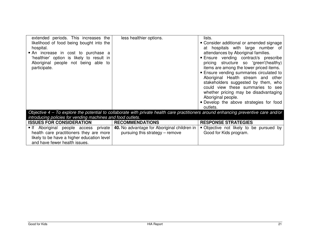| extended periods. This increases the<br>likelihood of food being bought into the<br>hospital.<br>An increase in cost to purchase a<br>'healthier' option is likely to result in<br>Aboriginal people not being able to<br>participate. | less healthier options.                                                                                                              | lists.<br>• Consider additional or amended signage<br>at hospitals with large number of<br>attendances by Aboriginal families.<br><b>Ensure</b> vending contract/s prescribe<br>pricing structure so 'green'(healthy)<br>items are among the lower priced items.<br><b>Ensure vending summaries circulated to</b><br>Aboriginal Health stream and other<br>stakeholders suggested by them, who<br>could view these summaries to see<br>whether pricing may be disadvantaging<br>Aboriginal people.<br>• Develop the above strategies for food<br>outlets. |
|----------------------------------------------------------------------------------------------------------------------------------------------------------------------------------------------------------------------------------------|--------------------------------------------------------------------------------------------------------------------------------------|-----------------------------------------------------------------------------------------------------------------------------------------------------------------------------------------------------------------------------------------------------------------------------------------------------------------------------------------------------------------------------------------------------------------------------------------------------------------------------------------------------------------------------------------------------------|
|                                                                                                                                                                                                                                        | Objective 4 – To explore the potential to collaborate with private health care practitioners around enhancing preventive care and/or |                                                                                                                                                                                                                                                                                                                                                                                                                                                                                                                                                           |
| introducing policies for vending machines and food outlets.                                                                                                                                                                            |                                                                                                                                      |                                                                                                                                                                                                                                                                                                                                                                                                                                                                                                                                                           |
| <b>ISSUES FOR CONSIDERATION</b>                                                                                                                                                                                                        | <b>RECOMMENDATIONS</b>                                                                                                               | <b>RESPONSE STRATEGIES</b>                                                                                                                                                                                                                                                                                                                                                                                                                                                                                                                                |
| If Aboriginal people access private                                                                                                                                                                                                    | 40. No advantage for Aboriginal children in                                                                                          | • Objective not likely to be pursued by                                                                                                                                                                                                                                                                                                                                                                                                                                                                                                                   |
| health care practitioners they are more                                                                                                                                                                                                | pursuing this strategy – remove                                                                                                      | Good for Kids program.                                                                                                                                                                                                                                                                                                                                                                                                                                                                                                                                    |
| likely to be have a higher education level                                                                                                                                                                                             |                                                                                                                                      |                                                                                                                                                                                                                                                                                                                                                                                                                                                                                                                                                           |
| and have fewer health issues.                                                                                                                                                                                                          |                                                                                                                                      |                                                                                                                                                                                                                                                                                                                                                                                                                                                                                                                                                           |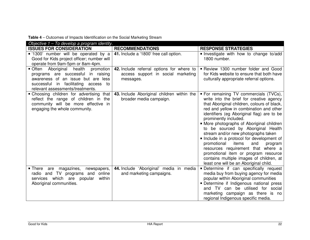| Objective 1 – To develop a program identity.                                                                                                                                                |                                                                                              |                                                                                                                                                                                                                                                                                                                                                                                                                                                                                                                                                                                                                                           |
|---------------------------------------------------------------------------------------------------------------------------------------------------------------------------------------------|----------------------------------------------------------------------------------------------|-------------------------------------------------------------------------------------------------------------------------------------------------------------------------------------------------------------------------------------------------------------------------------------------------------------------------------------------------------------------------------------------------------------------------------------------------------------------------------------------------------------------------------------------------------------------------------------------------------------------------------------------|
| <b>ISSUES FOR CONSIDERATION</b>                                                                                                                                                             | <b>RECOMMENDATIONS</b>                                                                       | <b>RESPONSE STRATEGIES</b>                                                                                                                                                                                                                                                                                                                                                                                                                                                                                                                                                                                                                |
| "1300' number will be operated by a<br>Good for Kids project officer; number will<br>operate from 9am-5pm or 8am-4pm.                                                                       | 41. Include a '1800' free call option.                                                       | Investigate with how to change to/add<br>1800 number.                                                                                                                                                                                                                                                                                                                                                                                                                                                                                                                                                                                     |
| • Often Aboriginal health promotion<br>programs are successful in raising<br>awareness of an issue but are less<br>successful in facilitating access to<br>relevant assessments/treatments. | 42. Include referral options for where to<br>access support in social marketing<br>messages. | Review 1300 number folder and Good<br>for Kids website to ensure that both have<br>culturally appropriate referral options.                                                                                                                                                                                                                                                                                                                                                                                                                                                                                                               |
| • Choosing children for advertising that<br>reflect the range of children in the<br>community will be more effective in<br>engaging the whole community.                                    | 43. Include Aboriginal children within the<br>broader media campaign.                        | • For remaining TV commercials (TVCs),<br>write into the brief for creative agency<br>that Aboriginal children, colours of black,<br>red and yellow in combination and other<br>identifiers (eg Aboriginal flag) are to be<br>prominently included.<br>• More photographs of Aboriginal children<br>to be sourced by Aboriginal Health<br>stream and/or new photographs taken<br>• Include in a protocol for development of<br>promotional<br>items<br>and<br>program<br>resources requirement that where a<br>promotional item or program resource<br>contains multiple images of children, at<br>least one will be an Aboriginal child. |
| • There are magazines, newspapers,<br>radio and TV programs and online<br>which are popular<br>within<br>services<br>Aboriginal communities.                                                | 44. Include 'Aboriginal' media in media<br>and marketing campaigns.                          | · Determine if can specifically request<br>media buy from buying agency for media<br>popular within Aboriginal communities<br>• Determine if Indigenous national press<br>and TV can be utilised for social<br>marketing campaign as there is no<br>regional Indigenous specific media.                                                                                                                                                                                                                                                                                                                                                   |

#### **Table 4** – Outcomes of Impacts Identification on the Social Marketing Stream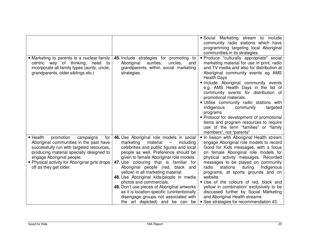|                                                                                                                                                                                                                                                                                                     |                                                                                                                                                                                                                                                                                                                                                                                                                                                                                                                                                                                                                  | Social Marketing stream to include<br>community radio stations which have<br>programming targeting local Aboriginal<br>communities in its strategies.                                                                                                                                                                                                                                                                                                                                                                                                                                                       |
|-----------------------------------------------------------------------------------------------------------------------------------------------------------------------------------------------------------------------------------------------------------------------------------------------------|------------------------------------------------------------------------------------------------------------------------------------------------------------------------------------------------------------------------------------------------------------------------------------------------------------------------------------------------------------------------------------------------------------------------------------------------------------------------------------------------------------------------------------------------------------------------------------------------------------------|-------------------------------------------------------------------------------------------------------------------------------------------------------------------------------------------------------------------------------------------------------------------------------------------------------------------------------------------------------------------------------------------------------------------------------------------------------------------------------------------------------------------------------------------------------------------------------------------------------------|
| • Marketing to parents is a nuclear-family<br>centric way of thinking; need to<br>incorporate all family types (aunty, uncle,<br>grandparents, older siblings etc.)                                                                                                                                 | 45. Include strategies for promoting to<br>Aboriginal<br>aunties,<br>uncles,<br>and<br>grandparents within social marketing<br>strategies.                                                                                                                                                                                                                                                                                                                                                                                                                                                                       | · Produce "culturally appropriate" social<br>marketing material for use in print, radio<br>and TV media and also for distribution at<br>Aboriginal community events eg AMS<br><b>Health Days</b><br>· Include Aboriginal community events<br>e.g. AMS Health Days in the list of<br>community events for distribution of<br>promotional materials.<br>· Utilise community radio stations with<br>Indigenous<br>community<br>targeted<br>programs<br>• Protocol for development of promotional<br>items and program resources to require<br>use of the term "families" or "family<br>members", not "parents" |
| $\blacksquare$ Health<br>promotion<br>campaigns<br>for<br>Aboriginal communities in the past have<br>successfully run with targeted resources,<br>producing material specially designed to<br>engage Aboriginal people.<br>• Physical activity for Aboriginal girls drops<br>off as they get older. | 46. Use Aboriginal role models in social<br>marketing<br>material<br>including<br>$\overline{\phantom{m}}$<br>celebrities and public figures and local<br>people as well. Preference should be<br>given to female Aboriginal role models.<br>47. Use colouring that is familiar for<br>Aboriginal people (red, black and<br>yellow) in all marketing material.<br>48. Use Aboriginal kids/people in media<br>photos and commercials.<br>49. Don't use pieces of Aboriginal artworks<br>as it is location-specific (unintentionally<br>disengage groups not associated with<br>the art depicted) and be can<br>be | . In liaison with Aboriginal Health stream<br>engage Aboriginal role models to record<br>Good for Kids messages, with a focus<br>on female Aboriginal role models for<br>physical activity messages. Recorded<br>messages to be played on community<br>radio<br>stations<br>during<br>Indigenous<br>programs, at sports grounds and on<br>website.<br>· Use of the colours of red, black and<br>yellow in combination/ exclusively to be<br>discussed further by Social Marketing<br>and Aboriginal Health streams.<br>• See strategies for recommendation 43.                                              |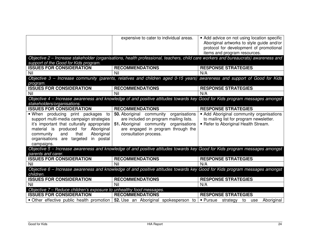|                                                                                                                                                                                                                                                                       | expensive to cater to individual areas.                                                                                                                                                          | • Add advice on not using location specific<br>Aboriginal artworks to style guide and/or<br>protocol for development of promotional<br>items and program resources. |
|-----------------------------------------------------------------------------------------------------------------------------------------------------------------------------------------------------------------------------------------------------------------------|--------------------------------------------------------------------------------------------------------------------------------------------------------------------------------------------------|---------------------------------------------------------------------------------------------------------------------------------------------------------------------|
|                                                                                                                                                                                                                                                                       | Objective 2 – Increase stakeholder (organisations, health professional, teachers, child care workers and bureaucrats) awareness and                                                              |                                                                                                                                                                     |
| support of the Good for Kids program.                                                                                                                                                                                                                                 |                                                                                                                                                                                                  |                                                                                                                                                                     |
| <b>ISSUES FOR CONSIDERATION</b>                                                                                                                                                                                                                                       | <b>RECOMMENDATIONS</b>                                                                                                                                                                           | <b>RESPONSE STRATEGIES</b>                                                                                                                                          |
| Nil                                                                                                                                                                                                                                                                   | Nil                                                                                                                                                                                              | N/A                                                                                                                                                                 |
| program.                                                                                                                                                                                                                                                              | Objective 3 - Increase community (parents, relatives and children aged 0-15 years) awareness and support of Good for Kids                                                                        |                                                                                                                                                                     |
| <b>ISSUES FOR CONSIDERATION</b>                                                                                                                                                                                                                                       | <b>RECOMMENDATIONS</b>                                                                                                                                                                           | <b>RESPONSE STRATEGIES</b>                                                                                                                                          |
| Nil                                                                                                                                                                                                                                                                   | Nil                                                                                                                                                                                              | N/A                                                                                                                                                                 |
| stakeholders/organisations.                                                                                                                                                                                                                                           | Objective 4 – Increase awareness and knowledge of and positive attitudes towards key Good for Kids program messages amongst                                                                      |                                                                                                                                                                     |
| <b>ISSUES FOR CONSIDERATION</b>                                                                                                                                                                                                                                       | <b>RECOMMENDATIONS</b>                                                                                                                                                                           | <b>RESPONSE STRATEGIES</b>                                                                                                                                          |
| • When producing print packages to<br>support multi-media campaign strategies<br>it's important that culturally appropriate<br>material is produced for Aboriginal<br>that<br>and<br>Aboriginal<br>community<br>organisations are targeted<br>in postal<br>campaigns. | <b>50.</b> Aboriginal community organisations<br>are included on program mailing lists.<br>51. Aboriginal community organisations<br>are engaged in program through the<br>consultation process. | • Add Aboriginal community organisations<br>to mailing list for program newsletter.<br>• Refer to Aboriginal Health Stream.                                         |
|                                                                                                                                                                                                                                                                       | Objective 5 - Increase awareness and knowledge of and positive attitudes towards key Good for Kids program messages amongst                                                                      |                                                                                                                                                                     |
| parents and carer.                                                                                                                                                                                                                                                    |                                                                                                                                                                                                  |                                                                                                                                                                     |
| <b>ISSUES FOR CONSIDERATION</b>                                                                                                                                                                                                                                       | <b>RECOMMENDATIONS</b>                                                                                                                                                                           | <b>RESPONSE STRATEGIES</b>                                                                                                                                          |
| Nil                                                                                                                                                                                                                                                                   | Nil                                                                                                                                                                                              | N/A                                                                                                                                                                 |
| children.                                                                                                                                                                                                                                                             | Objective 6 - Increase awareness and knowledge of and positive attitudes towards key Good for Kids program messages amongst                                                                      |                                                                                                                                                                     |
| <b>ISSUES FOR CONSIDERATION</b>                                                                                                                                                                                                                                       | <b>RECOMMENDATIONS</b>                                                                                                                                                                           | <b>RESPONSE STRATEGIES</b>                                                                                                                                          |
| Nil                                                                                                                                                                                                                                                                   | Nil                                                                                                                                                                                              | N/A                                                                                                                                                                 |
| Objective 7 – Reduce children's exposure to unhealthy food messages.                                                                                                                                                                                                  |                                                                                                                                                                                                  |                                                                                                                                                                     |
| <b>ISSUES FOR CONSIDERATION</b>                                                                                                                                                                                                                                       | <b>RECOMMENDATIONS</b>                                                                                                                                                                           | <b>RESPONSE STRATEGIES</b>                                                                                                                                          |
| • Other effective public health promotion                                                                                                                                                                                                                             | 52. Use an Aboriginal spokesperson to                                                                                                                                                            | • Pursue<br>Aboriginal<br>strategy<br>to<br>use                                                                                                                     |
|                                                                                                                                                                                                                                                                       |                                                                                                                                                                                                  |                                                                                                                                                                     |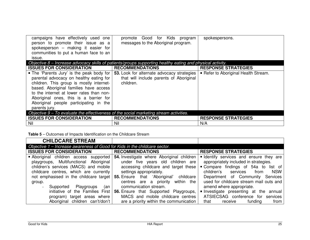| campaigns have effectively used one<br>person to promote their issue as a<br>spokesperson - making it easier for<br>communities to put a human face to an<br>issue.                                                                                                                                                         | promote Good for Kids program<br>messages to the Aboriginal program.                                       | spokespersons.                       |
|-----------------------------------------------------------------------------------------------------------------------------------------------------------------------------------------------------------------------------------------------------------------------------------------------------------------------------|------------------------------------------------------------------------------------------------------------|--------------------------------------|
|                                                                                                                                                                                                                                                                                                                             | Objective 8 – Increase advocacy skills of patients/groups supporting healthy eating and physical activity. |                                      |
| <b>ISSUES FOR CONSIDERATION</b>                                                                                                                                                                                                                                                                                             | <b>RECOMMENDATIONS</b>                                                                                     | <b>RESPONSE STRATEGIES</b>           |
| • The 'Parents Jury' is the peak body for<br>parental advocacy on healthy eating for<br>children. This group is mostly internet-<br>based. Aboriginal families have access<br>to the internet at lower rates than non-<br>Aboriginal ones, this is a barrier for<br>Aboriginal people participating in the<br>parents jury. | <b>53.</b> Look for alternate advocacy strategies<br>that will include parents of Aboriginal<br>children.  | • Refer to Aboriginal Health Stream. |
| Objective $9 - To$ evaluate the effectiveness of the social marketing stream activities.                                                                                                                                                                                                                                    |                                                                                                            |                                      |
| <b>ISSUES FOR CONSIDERATION</b>                                                                                                                                                                                                                                                                                             | <b>RECOMMENDATIONS</b>                                                                                     | <b>RESPONSE STRATEGIES</b>           |
| Nil                                                                                                                                                                                                                                                                                                                         | Nil                                                                                                        | N/A                                  |

**Table 5** – Outcomes of Impacts Identification on the Childcare Stream

| <b>CHILDCARE STREAM</b>                                                                                                                                                       |                                                                                                                                                                                                                                                                         |                                                                                                                                                                                                                                                      |
|-------------------------------------------------------------------------------------------------------------------------------------------------------------------------------|-------------------------------------------------------------------------------------------------------------------------------------------------------------------------------------------------------------------------------------------------------------------------|------------------------------------------------------------------------------------------------------------------------------------------------------------------------------------------------------------------------------------------------------|
| Objective 1 - Increase awareness of Good for Kids in the childcare sector.                                                                                                    |                                                                                                                                                                                                                                                                         |                                                                                                                                                                                                                                                      |
| <b>ISSUES FOR CONSIDERATION</b>                                                                                                                                               | <b>RECOMMENDATIONS</b>                                                                                                                                                                                                                                                  | <b>RESPONSE STRATEGIES</b>                                                                                                                                                                                                                           |
| • Aboriginal children access supported<br>playgroups, Multifunctional Aboriginal<br>children's services (MACS) and mobile<br>childcare centres, which are currently<br>group. | 54. Investigate where Aboriginal children<br>under five years old children are<br>accessing childcare and target these<br>settings appropriately.<br>not emphasised in the childcare target 55. Ensure that 'Aboriginal' childcare<br>centres are a priority within the | • Identify services and ensure they are<br>appropriately included in strategies.<br>• Compare findings of 54a to list of<br>children's services<br><b>NSW</b><br>from<br>Department of Community Services<br>used for childcare stream mail outs and |
| Playgroups<br>(an<br>Supported<br>program) target areas where<br>Aboriginal children can't/don't                                                                              | communication stream.<br>initiative of the Families First   56. Ensure that Supported Playgroups,<br>MACS and mobile childcare centres<br>are a priority within the communication                                                                                       | amend where appropriate.<br>Investigate presenting at the annual<br>ATSIECSAG conference for<br>services<br>that<br>from<br>funding<br>receive                                                                                                       |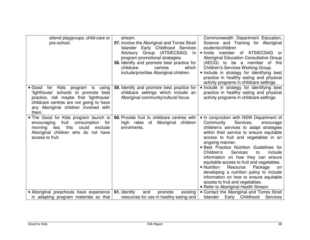| attend playgroups, child-care or<br>pre-school.                                                                                                                                                                           | stream.<br>57. Involve the Aboriginal and Torres Strait<br>Early Childhood Services<br>Islander<br>Advisory Group (ATSIECSAG)<br>in<br>program promotional strategies.<br>58. Identify and promote best practice for<br>childcare<br>which<br>centres<br>include/prioritise Aboriginal children. | Commonwealth Department Education,<br>Science and Training for Aboriginal<br>students/children<br>member of ATSIECSAG or<br>• Invite<br>Aboriginal Education Consultative Group<br>(AECG) to be a member of the<br>Children's Services Working Group.<br>Include in strategy for identifying best<br>practice in healthy eating and physical<br>activity programs in childcare settings.                                                                                                                                                                                                                                     |
|---------------------------------------------------------------------------------------------------------------------------------------------------------------------------------------------------------------------------|--------------------------------------------------------------------------------------------------------------------------------------------------------------------------------------------------------------------------------------------------------------------------------------------------|------------------------------------------------------------------------------------------------------------------------------------------------------------------------------------------------------------------------------------------------------------------------------------------------------------------------------------------------------------------------------------------------------------------------------------------------------------------------------------------------------------------------------------------------------------------------------------------------------------------------------|
| Kids<br>Good for<br>using<br>program<br>is<br>'lighthouse' schools to promote best<br>practice, risk maybe that 'lighthouse'<br>childcare centres are not going to have<br>any Aboriginal children involved with<br>them. | 59. Identify and promote best practice for<br>childcare settings which include an<br>Aboriginal community/cultural focus.                                                                                                                                                                        | Include in strategy for identifying best<br>practice in healthy eating and physical<br>activity programs in childcare settings.                                                                                                                                                                                                                                                                                                                                                                                                                                                                                              |
| . The Good for Kids program launch is<br>fruit<br>encouraging<br>consumption<br>for<br>this<br>could<br>exclude<br>morning<br>tea;<br>Aboriginal children who do not have<br>access to fruit.                             | 60. Provide fruit to childcare centres with<br>children<br>high rates<br>of Aboriginal<br>enrolments.                                                                                                                                                                                            | • In conjunction with NSW Department of<br>Services,<br>Community<br>encourage<br>children's services to adapt strategies<br>within their service to ensure equitable<br>access to fruit and vegetables in an<br>ongoing manner.<br><b>Best Practice Nutrition Guidelines for</b><br>Services<br>Children's<br>to<br>include<br>information on how they can ensure<br>equitable access to fruit and vegetables.<br>• Nutrition<br>Package<br>Resource<br>on<br>developing a nutrition policy to include<br>information on how to ensure equitable<br>access to fruit and vegetables.<br>- Refer to Aboriginal Health Stream. |
| Aboriginal preschools have experience                                                                                                                                                                                     | 61. Identify<br>existing<br>and<br>promote                                                                                                                                                                                                                                                       | • Contact the Aboriginal and Torres Strait                                                                                                                                                                                                                                                                                                                                                                                                                                                                                                                                                                                   |
| in adapting program materials so that                                                                                                                                                                                     | resources for use in healthy eating and                                                                                                                                                                                                                                                          | Early Childhood<br><b>Islander</b><br>Services                                                                                                                                                                                                                                                                                                                                                                                                                                                                                                                                                                               |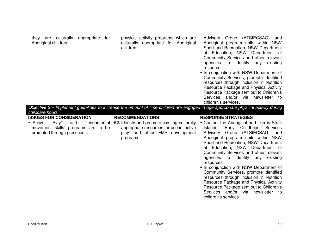| culturally<br>they are<br>Aboriginal children | appropriate | for | physical activity programs which are<br>culturally appropriate for Aboriginal<br>children. | (ATSIECSAG)<br>Advisory<br>Group<br>and<br>Aboriginal program units within NSW<br>Sport and Recreation, NSW Department<br>of Education, NSW Department of<br>Community Services and other relevant<br>agencies to identify any<br>existing<br>resources.                              |
|-----------------------------------------------|-------------|-----|--------------------------------------------------------------------------------------------|---------------------------------------------------------------------------------------------------------------------------------------------------------------------------------------------------------------------------------------------------------------------------------------|
|                                               |             |     |                                                                                            | • In conjunction with NSW Department of<br>Community Services, promote identified<br>resources through inclusion in Nutrition<br>Resource Package and Physical Activity<br>Resource Package sent out to Children's<br>Services and/or via<br>newsletter<br>to<br>children's services. |

| Objective 2 – Implement guidelines to increase the amount of time children are engaged in age appropriate physical activity during |  |  |  |  |  |  |
|------------------------------------------------------------------------------------------------------------------------------------|--|--|--|--|--|--|
| childcare hours.                                                                                                                   |  |  |  |  |  |  |

| <b>ISSUES FOR CONSIDERATION</b>                                                                                  | <b>RECOMMENDATIONS</b>                                                                                                                   | <b>RESPONSE STRATEGIES</b>                                                                                                                                                                                                                                                                                                                                                                                                                                                                                                                                                                                                     |
|------------------------------------------------------------------------------------------------------------------|------------------------------------------------------------------------------------------------------------------------------------------|--------------------------------------------------------------------------------------------------------------------------------------------------------------------------------------------------------------------------------------------------------------------------------------------------------------------------------------------------------------------------------------------------------------------------------------------------------------------------------------------------------------------------------------------------------------------------------------------------------------------------------|
| ■ 'Active<br>Play'<br>'fundamental<br>and<br>movement skills' programs are to be<br>promoted through preschools. | 62. Identify and promote existing culturally<br>appropriate resources for use in 'active<br>play' and other FMS development<br>programs. | • Contact the Aboriginal and Torres Strait<br>Early Childhood Services<br>Islander<br>Group (ATSIECSAG) and<br>Advisory<br>Aboriginal program units within NSW<br>Sport and Recreation, NSW Department<br>of Education, NSW Department of<br>Community Services and other relevant<br>agencies to identify any<br>existing<br>resources.<br>• In conjunction with NSW Department of<br>Community Services, promote identified<br>resources through inclusion in Nutrition<br>Resource Package and Physical Activity<br>Resource Package sent out to Children's<br>Services and/or via<br>newsletter to<br>children's services. |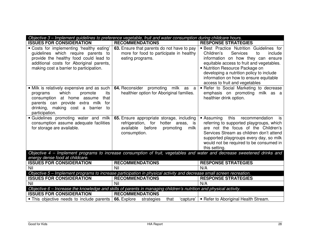|                                                                                                                                                                                                                            | Objective 3 – Implement guidelines to preference vegetable, fruit and water consumption during childcare hours.                              |                                                                                                                                                                                                                                                                                                                                   |
|----------------------------------------------------------------------------------------------------------------------------------------------------------------------------------------------------------------------------|----------------------------------------------------------------------------------------------------------------------------------------------|-----------------------------------------------------------------------------------------------------------------------------------------------------------------------------------------------------------------------------------------------------------------------------------------------------------------------------------|
| <b>ISSUES FOR CONSIDERATION</b>                                                                                                                                                                                            | <b>RECOMMENDATIONS</b>                                                                                                                       | <b>RESPONSE STRATEGIES</b>                                                                                                                                                                                                                                                                                                        |
| . Costs for implementing 'healthy eating'<br>guidelines which require parents to<br>provide the healthy food could lead to<br>additional costs for Aboriginal parents,<br>making cost a barrier to participation.          | 63. Ensure that parents do not have to pay<br>more for food to participate in healthy<br>eating programs.                                    | · Best Practice Nutrition Guidelines for<br>Services<br>Children's<br>to<br>include<br>information on how they can ensure<br>equitable access to fruit and vegetables.<br>• Nutrition Resource Package on<br>developing a nutrition policy to include<br>information on how to ensure equitable<br>access to fruit and vegetables |
| • Milk is relatively expensive and as such  <br>which<br>promote<br>its<br>programs<br>consumption at home assume<br>that<br>parents can provide extra milk<br>for<br>drinking, making cost a barrier to<br>participation. | <b>64.</b> Reconsider promoting milk as a<br>healthier option for Aboriginal families.                                                       | • Refer to Social Marketing to decrease<br>emphasis on promoting milk as a<br>healthier drink option.                                                                                                                                                                                                                             |
| <b>Guidelines promoting water and milk</b><br>consumption assume adequate facilities<br>for storage are available.                                                                                                         | 65. Ensure appropriate storage, including<br>refrigeration, for hotter areas, is<br>available<br>before<br>promoting<br>milk<br>consumption. | this<br>recommendation<br>• Assuming<br>is<br>referring to supported playgroups, which<br>are not the focus of the Children's<br>Services Stream as children don't attend<br>supported playgroups every day, so milk<br>would not be required to be consumed in<br>this setting.                                                  |
|                                                                                                                                                                                                                            | Objective 4 - Implement programs to increase consumption of fruit, vegetables and water and decrease sweetened drinks and                    |                                                                                                                                                                                                                                                                                                                                   |
| energy dense food at childcare.<br><b>ISSUES FOR CONSIDERATION</b>                                                                                                                                                         | <b>RECOMMENDATIONS</b>                                                                                                                       | <b>RESPONSE STRATEGIES</b>                                                                                                                                                                                                                                                                                                        |
| Nil                                                                                                                                                                                                                        | Nil                                                                                                                                          | N/A                                                                                                                                                                                                                                                                                                                               |
|                                                                                                                                                                                                                            | Objective 5 - Implement programs to increase participation in physical activity and decrease small screen recreation.                        |                                                                                                                                                                                                                                                                                                                                   |
| <b>ISSUES FOR CONSIDERATION</b>                                                                                                                                                                                            | <b>RECOMMENDATIONS</b>                                                                                                                       | <b>RESPONSE STRATEGIES</b>                                                                                                                                                                                                                                                                                                        |
| Nil                                                                                                                                                                                                                        | Nil                                                                                                                                          | N/A                                                                                                                                                                                                                                                                                                                               |
|                                                                                                                                                                                                                            | Objective 6 – Increase the knowledge and skills of parents in managing children's nutrition and physical activity.                           |                                                                                                                                                                                                                                                                                                                                   |
| <b>ISSUES FOR CONSIDERATION</b>                                                                                                                                                                                            | <b>RECOMMENDATIONS</b>                                                                                                                       |                                                                                                                                                                                                                                                                                                                                   |
| • This objective needs to include parents                                                                                                                                                                                  | 66. Explore<br>that<br>'capture'  <br>strategies                                                                                             | ■ Refer to Aboriginal Health Stream.                                                                                                                                                                                                                                                                                              |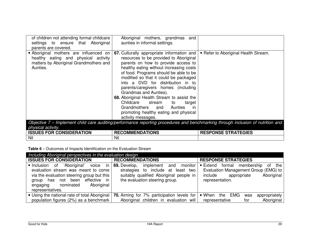| of children not attending formal childcare<br>settings to ensure that Aboriginal<br>parents are covered.                           | Aboriginal mothers, grandmas<br>and<br>aunties in informal settings.                                                                                                                                                                                                                                                                                                                                                                                                                                                                                         |                                                                                                                                  |
|------------------------------------------------------------------------------------------------------------------------------------|--------------------------------------------------------------------------------------------------------------------------------------------------------------------------------------------------------------------------------------------------------------------------------------------------------------------------------------------------------------------------------------------------------------------------------------------------------------------------------------------------------------------------------------------------------------|----------------------------------------------------------------------------------------------------------------------------------|
| Aboriginal mothers are influenced on<br>healthy eating and physical activity<br>matters by Aboriginal Grandmothers and<br>Aunties. | <b>67.</b> Culturally appropriate information and<br>resources to be provided to Aboriginal<br>parents on how to provide access to<br>healthy eating without increasing costs<br>of food. Programs should be able to be<br>modified so that it could be packaged<br>into a DVD for distribution in to<br>parents/caregivers homes (including<br>Grandmas and Aunties).<br>68. Aboriginal Health Stream to assist the<br>Childcare stream<br>to<br>target<br>Grandmothers and Aunties<br>in in<br>promoting healthy eating and physical<br>activity messages. | ■ Refer to Aboriginal Health Stream.                                                                                             |
|                                                                                                                                    |                                                                                                                                                                                                                                                                                                                                                                                                                                                                                                                                                              | Objective 7 – Implement child care auditing/performance reporting procedures and benchmarking through inclusion of nutrition and |

Objective 7 – Implement child care auditing/performance reporting procedures and benchmarking through inclusion of nutrition and physical activity.

| <b>IES FOR CONSIDERATION</b><br><b>ISSUES</b> | <b>RECOMMENDATIONS</b> | <b>ESPONSE STRATEGIES</b> |
|-----------------------------------------------|------------------------|---------------------------|
| Nil                                           | Nil                    |                           |

**Table 6** – Outcomes of Impacts Identification on the Evaluation Stream

| Including Aboriginal perspectives in the evaluation design                                                                                                                                                            |                                                                                                                                                                                 |                                                                                                                                                            |  |
|-----------------------------------------------------------------------------------------------------------------------------------------------------------------------------------------------------------------------|---------------------------------------------------------------------------------------------------------------------------------------------------------------------------------|------------------------------------------------------------------------------------------------------------------------------------------------------------|--|
| <b>ISSUES FOR CONSIDERATION</b>                                                                                                                                                                                       | <b>RECOMMENDATIONS</b>                                                                                                                                                          | <b>RESPONSE STRATEGIES</b>                                                                                                                                 |  |
| 'Aboriginal'<br>lnclusion of<br>evaluation stream was meant to come<br>via the evaluation steering group but this<br>effective in<br>been<br>group has not<br>Aboriginal<br>nominated<br>engaging<br>representatives. | voice in $\vert$ 69. Develop,<br>implement<br>and<br>monitor<br>strategies to include at least two<br>suitably qualified Aboriginal people in<br>the evaluation steering group. | $\blacksquare$ Extend<br>formal membership<br>the<br>of<br>Evaluation Management Group (EMG) to<br>include<br>Aboriginal<br>appropriate<br>representation. |  |
| • Using the national rate of total Aboriginal                                                                                                                                                                         | 70. Aiming for 7% participation levels for                                                                                                                                      | $\blacksquare$ When<br>the EMG<br>appropriately<br>was                                                                                                     |  |
| population figures (2%) as a benchmark                                                                                                                                                                                | Aboriginal children in evaluation will                                                                                                                                          | Aboriginal<br>representative<br>for                                                                                                                        |  |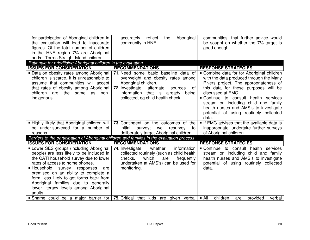| for participation of Aboriginal children in<br>the evaluation will lead to inaccurate<br>figures. Of the total number of children<br>in the HNE region 7% are Aboriginal                                                                                                                                                                                                                         | Aboriginal<br>accurately<br>reflect<br>the<br>community in HNE.                                                                                                                                                                        | communities, that further advice would<br>be sought on whether the 7% target is<br>good enough.                                                                                                                                                                                                                                                                            |
|--------------------------------------------------------------------------------------------------------------------------------------------------------------------------------------------------------------------------------------------------------------------------------------------------------------------------------------------------------------------------------------------------|----------------------------------------------------------------------------------------------------------------------------------------------------------------------------------------------------------------------------------------|----------------------------------------------------------------------------------------------------------------------------------------------------------------------------------------------------------------------------------------------------------------------------------------------------------------------------------------------------------------------------|
| and/or Torres Straight Island children.<br>Rationale for prioritising Aboriginal children in the evaluation                                                                                                                                                                                                                                                                                      |                                                                                                                                                                                                                                        |                                                                                                                                                                                                                                                                                                                                                                            |
| <b>ISSUES FOR CONSIDERATION</b>                                                                                                                                                                                                                                                                                                                                                                  | <b>RECOMMENDATIONS</b>                                                                                                                                                                                                                 | <b>RESPONSE STRATEGIES</b>                                                                                                                                                                                                                                                                                                                                                 |
| · Data on obesity rates among Aboriginal<br>children is scarce. It is unreasonable to<br>assume that communities will accept<br>that rates of obesity among Aboriginal<br>children are<br>the<br>same<br>as<br>non-<br>indigenous.                                                                                                                                                               | 71. Need some basic baseline data of<br>overweight and obesity rates among<br>Aboriginal children.<br>72. Investigate<br>alternate<br>of<br>sources<br>information<br>that is<br>already<br>being<br>collected, eg child health check. | • Combine data for for Aboriginal children<br>with the data produced through the Many<br>Rivers project. The appropriateness of<br>this data for these purposes will be<br>discussed at EMG.<br>• Continue to consult health services<br>stream on including child and family<br>health nurses and AMS's to investigate<br>potential of using routinely collected<br>data. |
| . Highly likely that Aboriginal children will                                                                                                                                                                                                                                                                                                                                                    | 73. Contingent on the outcomes of the                                                                                                                                                                                                  | If EMG advises that the available data is                                                                                                                                                                                                                                                                                                                                  |
| be under-surveyed for a number of                                                                                                                                                                                                                                                                                                                                                                | initial<br>survey;<br>we<br>resurvey<br>to                                                                                                                                                                                             | inappropriate, undertake further surveys                                                                                                                                                                                                                                                                                                                                   |
| reasons.                                                                                                                                                                                                                                                                                                                                                                                         | deliberately target Aboriginal children.<br>Barriers to the participation of Aboriginal children and families in the evaluation process                                                                                                | of Aboriginal children.                                                                                                                                                                                                                                                                                                                                                    |
| <b>ISSUES FOR CONSIDERATION</b>                                                                                                                                                                                                                                                                                                                                                                  | <b>RECOMMENDATIONS</b>                                                                                                                                                                                                                 | <b>RESPONSE STRATEGIES</b>                                                                                                                                                                                                                                                                                                                                                 |
| • Lower SES groups (including Aboriginal<br>people) are less likely to be included in<br>the CATI household survey due to lower<br>rates of access to home phones.<br>■ Household<br>survey<br>responses<br>are<br>premised on an ability to complete a<br>form; less likely to get forms back from<br>Aboriginal families due to generally<br>lower literacy levels among Aboriginal<br>adults. | information<br>74. Investigate<br>whether<br>collected routinely (such as child health<br>which<br>checks,<br>frequently<br>are<br>undertaken at AMS's) can be used for<br>monitoring.                                                 | • Continue to consult health services<br>stream on including child and family<br>health nurses and AMS's to investigate<br>potential of using routinely collected<br>data.                                                                                                                                                                                                 |
| Shame could be a major barrier for                                                                                                                                                                                                                                                                                                                                                               | 75. Critical<br>that kids<br>are given<br>verbal                                                                                                                                                                                       | children<br>provided<br>$\blacksquare$ All<br>verbal<br>are                                                                                                                                                                                                                                                                                                                |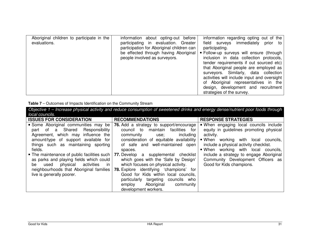| Aboriginal children to participate in the<br>evaluations. | information about opting-out before<br>participating in evaluation. Greater<br>participation for Aboriginal children can<br>be effected through having Aboriginal<br>people involved as surveyors. | information regarding opting out of the<br>field surveys immediately prior to<br>participating.<br>• Follow-up surveys will ensure (through<br>inclusion in data collection protocols,<br>tender requirements if out sourced etc)<br>that Aboriginal people are employed as<br>surveyors. Similarly, data collection<br>activities will include input and oversight<br>of Aboriginal representatives in the<br>design, development and recruitment<br>strategies of the survey. |
|-----------------------------------------------------------|----------------------------------------------------------------------------------------------------------------------------------------------------------------------------------------------------|---------------------------------------------------------------------------------------------------------------------------------------------------------------------------------------------------------------------------------------------------------------------------------------------------------------------------------------------------------------------------------------------------------------------------------------------------------------------------------|
|-----------------------------------------------------------|----------------------------------------------------------------------------------------------------------------------------------------------------------------------------------------------------|---------------------------------------------------------------------------------------------------------------------------------------------------------------------------------------------------------------------------------------------------------------------------------------------------------------------------------------------------------------------------------------------------------------------------------------------------------------------------------|

| Table 7 - Outcomes of Impacts Identification on the Community Stream |  |  |  |  |  |  |  |
|----------------------------------------------------------------------|--|--|--|--|--|--|--|
|----------------------------------------------------------------------|--|--|--|--|--|--|--|

Objective 1 – Increase physical activity and reduce consumption of sweetened drinks and energy dense/nutrient poor foods through local councils. **ISSUES FOR CONSIDERATION RECOMMENDATIONS RESPONSE STRATEGIES**  When engaging local councils include Some Aboriginal communities may be part of a Shared Responsibility Agreement, which may influence the amount/type of support available for things such as maintaining sporting fields. The maintenance of public facilities such as parks and playing fields which could in be used physical activities neighbourhoods that Aboriginal families live is generally poorer. **76.** Add a strategy to support/encourage council to maintain facilities for including community use; consideration of equitable availability of safe and well-maintained open spaces. **77.** Develop a supplemental checklist which goes with the 'Safe by Design' which focuses on physical activity. **78.** Explore identifying 'champions' for Good for Kids within local councils, particularly targeting councils who employ Aboriginal community development workers. equity in guidelines promoting physical activity. When working with local councils, include a physical activity checklist. When working with local councils, include a strategy to engage Aboriginal Community Development Officers as Good for Kids champions.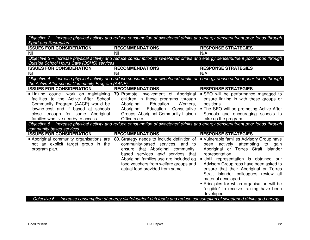| Objective 2 – Increase physical activity and reduce consumption of sweetened drinks and energy dense/nutrient poor foods through |                                                                                                                                  |                                             |  |
|----------------------------------------------------------------------------------------------------------------------------------|----------------------------------------------------------------------------------------------------------------------------------|---------------------------------------------|--|
| <b>Sport and Recreation</b>                                                                                                      |                                                                                                                                  |                                             |  |
| <b>ISSUES FOR CONSIDERATION</b>                                                                                                  | <b>RECOMMENDATIONS</b>                                                                                                           | <b>RESPONSE STRATEGIES</b>                  |  |
| Nil                                                                                                                              | Nil                                                                                                                              | N/A                                         |  |
|                                                                                                                                  | Objective 3 – Increase physical activity and reduce consumption of sweetened drinks and energy dense/nutrient poor foods through |                                             |  |
| Outside School Hours Care (OSHC) services                                                                                        |                                                                                                                                  |                                             |  |
| <b>ISSUES FOR CONSIDERATION</b>                                                                                                  | <b>RECOMMENDATIONS</b>                                                                                                           | <b>RESPONSE STRATEGIES</b>                  |  |
| Nil                                                                                                                              | Nil                                                                                                                              | N/A                                         |  |
|                                                                                                                                  | Objective 4 - Increase physical activity and reduce consumption of sweetened drinks and energy dense/nutrient poor foods through |                                             |  |
| the Active After school Community Program (AACP)                                                                                 |                                                                                                                                  |                                             |  |
| <b>ISSUES FOR CONSIDERATION</b>                                                                                                  | <b>RECOMMENDATIONS</b>                                                                                                           | <b>RESPONSE STRATEGIES</b>                  |  |
| . Linking council work on maintaining                                                                                            | 79. Promote involvement of Aboriginal                                                                                            | • SEO will be performance managed to        |  |
| facilities to the Active After School                                                                                            | children in these programs through                                                                                               | ensure linking in with these groups or      |  |
| Community Program (AACP) would be                                                                                                | Workers,<br>Education<br>Aboriginal                                                                                              | positions.                                  |  |
| low/no-cost and if based at schools                                                                                              | Consultative  <br>Aboriginal<br>Education                                                                                        | • The SEO will be promoting Active After    |  |
| close enough for some<br>Aboriginal                                                                                              | Groups, Aboriginal Community Liaison                                                                                             | Schools and encouraging schools to          |  |
| families who live nearby to access.                                                                                              | Officers etc.                                                                                                                    | take up the program.                        |  |
|                                                                                                                                  | Objective 5 - Increase physical activity and reduce consumption of sweetened drinks and energy dense/nutrient poor foods through |                                             |  |
| community based services                                                                                                         |                                                                                                                                  |                                             |  |
| <b>ISSUES FOR CONSIDERATION</b>                                                                                                  | <b>RECOMMENDATIONS</b>                                                                                                           | <b>RESPONSE STRATEGIES</b>                  |  |
| • Aboriginal community organisations are                                                                                         | 80. Strategy needs to include definition of                                                                                      | • Vulnerable families Advisory Group have   |  |
| not an explicit target group in the                                                                                              | community-based services, and to                                                                                                 | been actively attempting to gain            |  |
| program plan.                                                                                                                    | ensure that Aboriginal community-                                                                                                | Aboriginal or Torres Strait Islander        |  |
|                                                                                                                                  | based services and services that                                                                                                 | representation.                             |  |
|                                                                                                                                  | Aboriginal families use are included eg                                                                                          | . Until representation is obtained our      |  |
|                                                                                                                                  | food vouchers from welfare groups and                                                                                            | Advisory Group reps have been asked to      |  |
|                                                                                                                                  | actual food provided from same.                                                                                                  | ensure that their Aboriginal or Torres      |  |
|                                                                                                                                  |                                                                                                                                  | Strait Islander colleagues review all       |  |
|                                                                                                                                  |                                                                                                                                  | material developed.                         |  |
|                                                                                                                                  |                                                                                                                                  | • Principles for which organisation will be |  |
|                                                                                                                                  |                                                                                                                                  | "eligible" to receive training have been    |  |
|                                                                                                                                  |                                                                                                                                  | developed.                                  |  |
|                                                                                                                                  | Objective 6 - Increase consumption of energy dilute/nutrient rich foods and reduce consumption of sweetened drinks and energy    |                                             |  |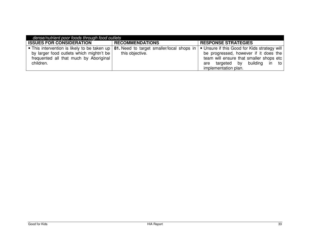| dense/nutrient poor foods through food outlets                                                  |                        |                                                                                                                                                                                                                                                                                       |  |  |
|-------------------------------------------------------------------------------------------------|------------------------|---------------------------------------------------------------------------------------------------------------------------------------------------------------------------------------------------------------------------------------------------------------------------------------|--|--|
| <b>ISSUES FOR CONSIDERATION</b>                                                                 | <b>RECOMMENDATIONS</b> | <b>RESPONSE STRATEGIES</b>                                                                                                                                                                                                                                                            |  |  |
| by larger food outlets which mightn't be<br>frequented all that much by Aboriginal<br>children. | this objective.        | • This intervention is likely to be taken up   81. Need to target smaller/local shops in   • Unsure if this Good for Kids strategy will<br>be progressed, however if it does the<br>team will ensure that smaller shops etc<br>are targeted by building in to<br>implementation plan. |  |  |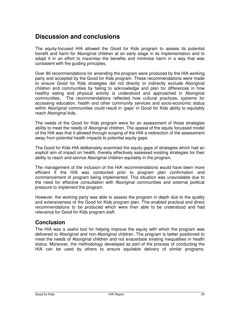# **Discussion and conclusions**

The equity-focused HIA allowed the Good for Kids program to assess its potential benefit and harm for Aboriginal children at an early stage in its implementation and to adapt it in an effort to maximise the benefits and minimise harm in a way that was consistent with the guiding principles.

Over 80 recommendations for amending the program were produced by the HIA working party and accepted by the Good for Kids program. These recommendations were made to ensure Good for Kids strategies did not directly or indirectly exclude Aboriginal children and communities by failing to acknowledge and plan for differences in how healthy eating and physical activity is understood and approached in Aboriginal communities. The recommendations reflected how cultural practices, systems for accessing education, health and other community services and socio-economic status within Aboriginal communities could result in 'gaps' in Good for Kids ability to equitably reach Aboriginal kids.

The needs of the Good for Kids program were for an assessment of those strategies ability to meet the needs of Aboriginal children. The appeal of the equity focussed model of the HIA was that it allowed through scoping of the HIA a redirection of the assessment away from potential health impacts to potential equity gaps.

The Good for Kids HIA deliberately examined the equity gaps of strategies which had an explicit aim of impact on health, thereby effectively assessed existing strategies for their ability to reach and service Aboriginal children equitably in the program.

The management of the inclusion of the HIA recommendations would have been more efficient if the HIA was conducted prior to program plan confirmation and commencement of program being implemented. This situation was unavoidable due to the need for effective consultation with Aboriginal communities and external political pressure to implement the program.

However, the working party was able to assess the program in depth due to the quality and extensiveness of the Good for Kids program plan. This enabled practical and direct recommendations to be produced which were then able to be understood and had relevance for Good for Kids program staff.

#### **Conclusion**

The HIA was a useful tool for helping improve the equity with which the program was delivered to Aboriginal and non-Aboriginal children. The program is better positioned to meet the needs of Aboriginal children and not exacerbate existing inequalities in health status. Moreover, the methodology developed as part of the process of conducting the HIA can be used by others to ensure equitable delivery of similar programs.